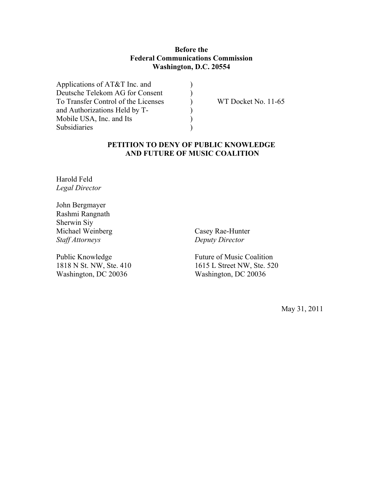# **Before the Federal Communications Commission Washington, D.C. 20554**

) ) ) ) ) )

| Applications of AT&T Inc. and       |  |
|-------------------------------------|--|
| Deutsche Telekom AG for Consent     |  |
| To Transfer Control of the Licenses |  |
| and Authorizations Held by T-       |  |
| Mobile USA, Inc. and Its            |  |
| Subsidiaries                        |  |
|                                     |  |

WT Docket No. 11-65

# **PETITION TO DENY OF PUBLIC KNOWLEDGE AND FUTURE OF MUSIC COALITION**

Harold Feld *Legal Director*

John Bergmayer Rashmi Rangnath Sherwin Siy Michael Weinberg *Staff Attorneys*

Public Knowledge 1818 N St. NW, Ste. 410 Washington, DC 20036

Casey Rae-Hunter *Deputy Director*

Future of Music Coalition 1615 L Street NW, Ste. 520 Washington, DC 20036

May 31, 2011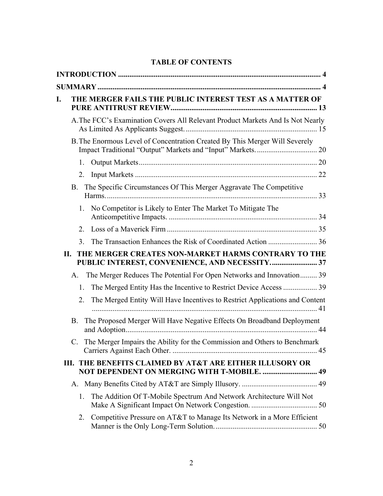# **TABLE OF CONTENTS**

| I. | THE MERGER FAILS THE PUBLIC INTEREST TEST AS A MATTER OF                                                    |    |
|----|-------------------------------------------------------------------------------------------------------------|----|
|    | A. The FCC's Examination Covers All Relevant Product Markets And Is Not Nearly                              |    |
|    | B. The Enormous Level of Concentration Created By This Merger Will Severely                                 |    |
|    | 1.                                                                                                          |    |
|    | 2.                                                                                                          |    |
|    | The Specific Circumstances Of This Merger Aggravate The Competitive<br><b>B.</b>                            |    |
|    | 1. No Competitor is Likely to Enter The Market To Mitigate The                                              |    |
|    | $2_{-}$                                                                                                     |    |
|    | 3 <sub>1</sub>                                                                                              |    |
|    | THE MERGER CREATES NON-MARKET HARMS CONTRARY TO THE<br>П.<br>PUBLIC INTEREST, CONVENIENCE, AND NECESSITY 37 |    |
|    | The Merger Reduces The Potential For Open Networks and Innovation 39<br>A.                                  |    |
|    | The Merged Entity Has the Incentive to Restrict Device Access  39<br>1.                                     |    |
|    | The Merged Entity Will Have Incentives to Restrict Applications and Content<br>2.                           |    |
|    | The Proposed Merger Will Have Negative Effects On Broadband Deployment<br><b>B.</b>                         |    |
|    | The Merger Impairs the Ability for the Commission and Others to Benchmark<br>C.                             | 45 |
|    | III. THE BENEFITS CLAIMED BY AT&T ARE EITHER ILLUSORY OR<br>NOT DEPENDENT ON MERGING WITH T-MOBILE.  49     |    |
|    |                                                                                                             |    |
|    | The Addition Of T-Mobile Spectrum And Network Architecture Will Not<br>1.                                   |    |
|    | Competitive Pressure on AT&T to Manage Its Network in a More Efficient<br>2.                                |    |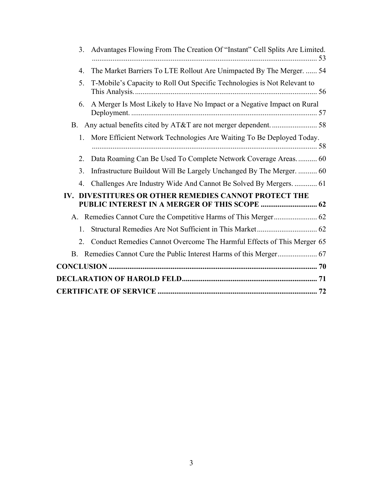| Advantages Flowing From The Creation Of "Instant" Cell Splits Are Limited.<br>3.       | 53 |
|----------------------------------------------------------------------------------------|----|
| The Market Barriers To LTE Rollout Are Unimpacted By The Merger.  54<br>$\overline{4}$ |    |
| T-Mobile's Capacity to Roll Out Specific Technologies is Not Relevant to<br>5.         |    |
| A Merger Is Most Likely to Have No Impact or a Negative Impact on Rural<br>6.          |    |
|                                                                                        |    |
| More Efficient Network Technologies Are Waiting To Be Deployed Today.<br>1.            |    |
| Data Roaming Can Be Used To Complete Network Coverage Areas 60<br>2.                   |    |
| Infrastructure Buildout Will Be Largely Unchanged By The Merger.  60<br>3.             |    |
| Challenges Are Industry Wide And Cannot Be Solved By Mergers.  61<br>$\overline{4}$ .  |    |
| DIVESTITURES OR OTHER REMEDIES CANNOT PROTECT THE<br>IV.                               |    |
|                                                                                        |    |
| $1_{-}$                                                                                |    |
| Conduct Remedies Cannot Overcome The Harmful Effects of This Merger 65<br>2.           |    |
|                                                                                        |    |
|                                                                                        |    |
|                                                                                        |    |
|                                                                                        |    |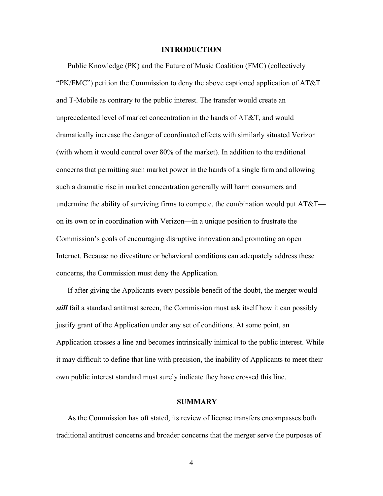#### **INTRODUCTION**

Public Knowledge (PK) and the Future of Music Coalition (FMC) (collectively "PK/FMC") petition the Commission to deny the above captioned application of AT&T and T-Mobile as contrary to the public interest. The transfer would create an unprecedented level of market concentration in the hands of AT&T, and would dramatically increase the danger of coordinated effects with similarly situated Verizon (with whom it would control over 80% of the market). In addition to the traditional concerns that permitting such market power in the hands of a single firm and allowing such a dramatic rise in market concentration generally will harm consumers and undermine the ability of surviving firms to compete, the combination would put  $AT&T$  on its own or in coordination with Verizon—in a unique position to frustrate the Commission's goals of encouraging disruptive innovation and promoting an open Internet. Because no divestiture or behavioral conditions can adequately address these concerns, the Commission must deny the Application.

If after giving the Applicants every possible benefit of the doubt, the merger would *still* fail a standard antitrust screen, the Commission must ask itself how it can possibly justify grant of the Application under any set of conditions. At some point, an Application crosses a line and becomes intrinsically inimical to the public interest. While it may difficult to define that line with precision, the inability of Applicants to meet their own public interest standard must surely indicate they have crossed this line.

#### **SUMMARY**

As the Commission has oft stated, its review of license transfers encompasses both traditional antitrust concerns and broader concerns that the merger serve the purposes of

4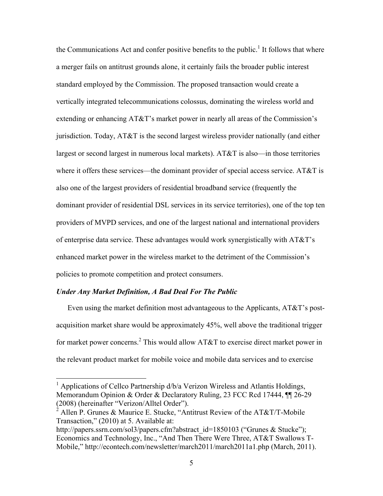the Communications Act and confer positive benefits to the public.<sup>1</sup> It follows that where a merger fails on antitrust grounds alone, it certainly fails the broader public interest standard employed by the Commission. The proposed transaction would create a vertically integrated telecommunications colossus, dominating the wireless world and extending or enhancing AT&T's market power in nearly all areas of the Commission's jurisdiction. Today, AT&T is the second largest wireless provider nationally (and either largest or second largest in numerous local markets). AT&T is also—in those territories where it offers these services—the dominant provider of special access service. AT&T is also one of the largest providers of residential broadband service (frequently the dominant provider of residential DSL services in its service territories), one of the top ten providers of MVPD services, and one of the largest national and international providers of enterprise data service. These advantages would work synergistically with AT&T's enhanced market power in the wireless market to the detriment of the Commission's policies to promote competition and protect consumers.

#### *Under Any Market Definition, A Bad Deal For The Public*

Even using the market definition most advantageous to the Applicants, AT&T's postacquisition market share would be approximately 45%, well above the traditional trigger for market power concerns.<sup>2</sup> This would allow AT&T to exercise direct market power in the relevant product market for mobile voice and mobile data services and to exercise

<sup>&</sup>lt;sup>1</sup> Applications of Cellco Partnership d/b/a Verizon Wireless and Atlantis Holdings, Memorandum Opinion & Order & Declaratory Ruling, 23 FCC Rcd 17444, ¶¶ 26-29 (2008) (hereinafter "Verizon/Alltel Order").

<sup>&</sup>lt;sup>2</sup> Allen P. Grunes & Maurice E. Stucke, "Antitrust Review of the AT&T/T-Mobile Transaction," (2010) at 5. Available at:

http://papers.ssrn.com/sol3/papers.cfm?abstract\_id=1850103 ("Grunes & Stucke"); Economics and Technology, Inc., "And Then There Were Three, AT&T Swallows T-Mobile," http://econtech.com/newsletter/march2011/march2011a1.php (March, 2011).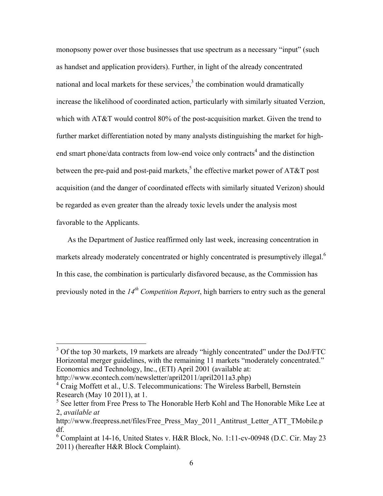monopsony power over those businesses that use spectrum as a necessary "input" (such as handset and application providers). Further, in light of the already concentrated national and local markets for these services, $3$  the combination would dramatically increase the likelihood of coordinated action, particularly with similarly situated Verzion, which with AT&T would control 80% of the post-acquisition market. Given the trend to further market differentiation noted by many analysts distinguishing the market for highend smart phone/data contracts from low-end voice only contracts<sup>4</sup> and the distinction between the pre-paid and post-paid markets,<sup>5</sup> the effective market power of AT&T post acquisition (and the danger of coordinated effects with similarly situated Verizon) should be regarded as even greater than the already toxic levels under the analysis most favorable to the Applicants.

As the Department of Justice reaffirmed only last week, increasing concentration in markets already moderately concentrated or highly concentrated is presumptively illegal.<sup>6</sup> In this case, the combination is particularly disfavored because, as the Commission has previously noted in the  $14<sup>th</sup>$  Competition Report, high barriers to entry such as the general

http://www.econtech.com/newsletter/april2011/april2011a3.php)

<sup>&</sup>lt;sup>3</sup> Of the top 30 markets, 19 markets are already "highly concentrated" under the DoJ/FTC Horizontal merger guidelines, with the remaining 11 markets "moderately concentrated." Economics and Technology, Inc., (ETI) April 2001 (available at:

<sup>&</sup>lt;sup>4</sup> Craig Moffett et al., U.S. Telecommunications: The Wireless Barbell, Bernstein Research (May 10 2011), at 1.

 $<sup>5</sup>$  See letter from Free Press to The Honorable Herb Kohl and The Honorable Mike Lee at</sup> 2, *available at*

http://www.freepress.net/files/Free Press\_May\_2011\_Antitrust\_Letter\_ATT\_TMobile.p df.

 $\rm^6$  Complaint at 14-16, United States v. H&R Block, No. 1:11-cv-00948 (D.C. Cir. May 23) 2011) (hereafter H&R Block Complaint).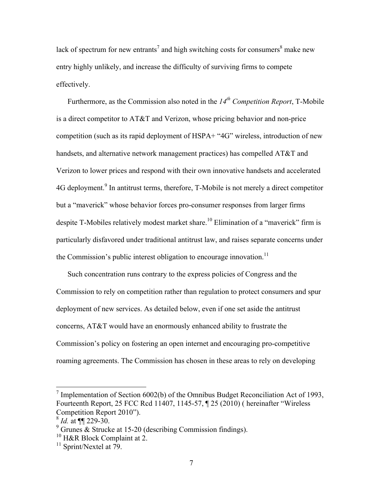lack of spectrum for new entrants<sup>7</sup> and high switching costs for consumers<sup>8</sup> make new entry highly unlikely, and increase the difficulty of surviving firms to compete effectively.

Furthermore, as the Commission also noted in the *14th Competition Report*, T-Mobile is a direct competitor to AT&T and Verizon, whose pricing behavior and non-price competition (such as its rapid deployment of HSPA+ "4G" wireless, introduction of new handsets, and alternative network management practices) has compelled AT&T and Verizon to lower prices and respond with their own innovative handsets and accelerated 4G deployment.<sup>9</sup> In antitrust terms, therefore, T-Mobile is not merely a direct competitor but a "maverick" whose behavior forces pro-consumer responses from larger firms despite T-Mobiles relatively modest market share.<sup>10</sup> Elimination of a "maverick" firm is particularly disfavored under traditional antitrust law, and raises separate concerns under the Commission's public interest obligation to encourage innovation.<sup>11</sup>

Such concentration runs contrary to the express policies of Congress and the Commission to rely on competition rather than regulation to protect consumers and spur deployment of new services. As detailed below, even if one set aside the antitrust concerns, AT&T would have an enormously enhanced ability to frustrate the Commission's policy on fostering an open internet and encouraging pro-competitive roaming agreements. The Commission has chosen in these areas to rely on developing

<sup>&</sup>lt;sup>7</sup> Implementation of Section 6002(b) of the Omnibus Budget Reconciliation Act of 1993, Fourteenth Report, 25 FCC Rcd 11407, 1145-57, ¶ 25 (2010) ( hereinafter "Wireless Competition Report 2010").

<sup>8</sup> *Id.* at ¶¶ 229-30.

 $9^9$  Grunes & Strucke at 15-20 (describing Commission findings).

<sup>&</sup>lt;sup>10</sup> H&R Block Complaint at 2.

 $11$  Sprint/Nextel at 79.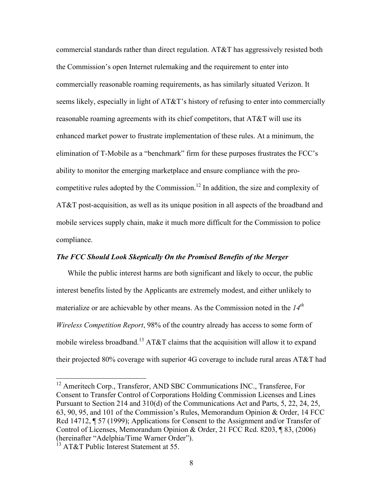commercial standards rather than direct regulation. AT&T has aggressively resisted both the Commission's open Internet rulemaking and the requirement to enter into commercially reasonable roaming requirements, as has similarly situated Verizon. It seems likely, especially in light of AT&T's history of refusing to enter into commercially reasonable roaming agreements with its chief competitors, that AT&T will use its enhanced market power to frustrate implementation of these rules. At a minimum, the elimination of T-Mobile as a "benchmark" firm for these purposes frustrates the FCC's ability to monitor the emerging marketplace and ensure compliance with the procompetitive rules adopted by the Commission.<sup>12</sup> In addition, the size and complexity of AT&T post-acquisition, as well as its unique position in all aspects of the broadband and mobile services supply chain, make it much more difficult for the Commission to police compliance.

### *The FCC Should Look Skeptically On the Promised Benefits of the Merger*

While the public interest harms are both significant and likely to occur, the public interest benefits listed by the Applicants are extremely modest, and either unlikely to materialize or are achievable by other means. As the Commission noted in the *14th Wireless Competition Report*, 98% of the country already has access to some form of mobile wireless broadband.<sup>13</sup> AT&T claims that the acquisition will allow it to expand their projected 80% coverage with superior 4G coverage to include rural areas AT&T had

<sup>&</sup>lt;sup>12</sup> Ameritech Corp., Transferor, AND SBC Communications INC., Transferee, For Consent to Transfer Control of Corporations Holding Commission Licenses and Lines Pursuant to Section 214 and 310(d) of the Communications Act and Parts, 5, 22, 24, 25, 63, 90, 95, and 101 of the Commission's Rules, Memorandum Opinion & Order, 14 FCC Rcd 14712, ¶ 57 (1999); Applications for Consent to the Assignment and/or Transfer of Control of Licenses, Memorandum Opinion & Order, 21 FCC Rcd. 8203, ¶ 83, (2006) (hereinafter "Adelphia/Time Warner Order").

 $13$  AT&T Public Interest Statement at 55.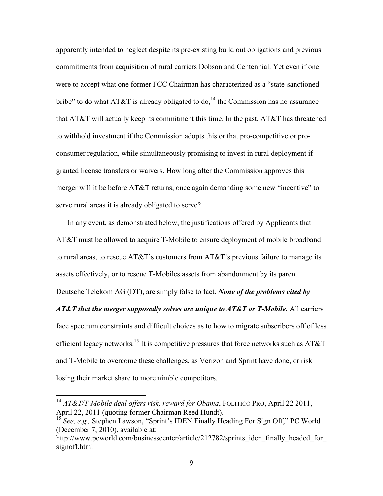apparently intended to neglect despite its pre-existing build out obligations and previous commitments from acquisition of rural carriers Dobson and Centennial. Yet even if one were to accept what one former FCC Chairman has characterized as a "state-sanctioned bribe" to do what AT&T is already obligated to do,  $14$  the Commission has no assurance that AT&T will actually keep its commitment this time. In the past, AT&T has threatened to withhold investment if the Commission adopts this or that pro-competitive or proconsumer regulation, while simultaneously promising to invest in rural deployment if granted license transfers or waivers. How long after the Commission approves this merger will it be before AT&T returns, once again demanding some new "incentive" to serve rural areas it is already obligated to serve?

In any event, as demonstrated below, the justifications offered by Applicants that AT&T must be allowed to acquire T-Mobile to ensure deployment of mobile broadband to rural areas, to rescue AT&T's customers from AT&T's previous failure to manage its assets effectively, or to rescue T-Mobiles assets from abandonment by its parent Deutsche Telekom AG (DT), are simply false to fact. *None of the problems cited by* 

*AT&T that the merger supposedly solves are unique to AT&T or T-Mobile.* All carriers face spectrum constraints and difficult choices as to how to migrate subscribers off of less efficient legacy networks.<sup>15</sup> It is competitive pressures that force networks such as AT&T and T-Mobile to overcome these challenges, as Verizon and Sprint have done, or risk losing their market share to more nimble competitors.

 <sup>14</sup> *AT&T/T-Mobile deal offers risk, reward for Obama*, POLITICO PRO, April 22 2011, April 22, 2011 (quoting former Chairman Reed Hundt).

<sup>&</sup>lt;sup>15</sup> See, e.g., Stephen Lawson, "Sprint's IDEN Finally Heading For Sign Off," PC World (December 7, 2010), available at:

http://www.pcworld.com/businesscenter/article/212782/sprints\_iden\_finally\_headed\_for signoff.html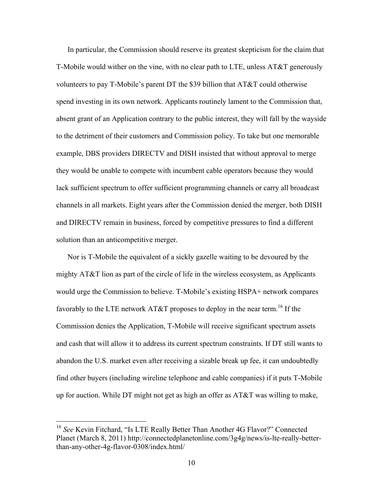In particular, the Commission should reserve its greatest skepticism for the claim that T-Mobile would wither on the vine, with no clear path to LTE, unless AT&T generously volunteers to pay T-Mobile's parent DT the \$39 billion that AT&T could otherwise spend investing in its own network. Applicants routinely lament to the Commission that, absent grant of an Application contrary to the public interest, they will fall by the wayside to the detriment of their customers and Commission policy. To take but one memorable example, DBS providers DIRECTV and DISH insisted that without approval to merge they would be unable to compete with incumbent cable operators because they would lack sufficient spectrum to offer sufficient programming channels or carry all broadcast channels in all markets. Eight years after the Commission denied the merger, both DISH and DIRECTV remain in business, forced by competitive pressures to find a different solution than an anticompetitive merger.

Nor is T-Mobile the equivalent of a sickly gazelle waiting to be devoured by the mighty AT&T lion as part of the circle of life in the wireless ecosystem, as Applicants would urge the Commission to believe. T-Mobile's existing HSPA+ network compares favorably to the LTE network AT&T proposes to deploy in the near term.<sup>16</sup> If the Commission denies the Application, T-Mobile will receive significant spectrum assets and cash that will allow it to address its current spectrum constraints. If DT still wants to abandon the U.S. market even after receiving a sizable break up fee, it can undoubtedly find other buyers (including wireline telephone and cable companies) if it puts T-Mobile up for auction. While DT might not get as high an offer as AT&T was willing to make,

 <sup>16</sup> *See* Kevin Fitchard, "Is LTE Really Better Than Another 4G Flavor?" Connected Planet (March 8, 2011) http://connectedplanetonline.com/3g4g/news/is-lte-really-betterthan-any-other-4g-flavor-0308/index.html/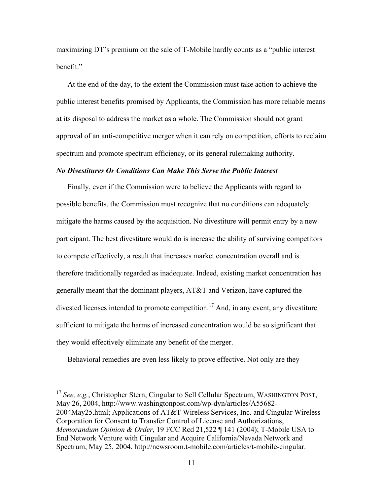maximizing DT's premium on the sale of T-Mobile hardly counts as a "public interest benefit."

At the end of the day, to the extent the Commission must take action to achieve the public interest benefits promised by Applicants, the Commission has more reliable means at its disposal to address the market as a whole. The Commission should not grant approval of an anti-competitive merger when it can rely on competition, efforts to reclaim spectrum and promote spectrum efficiency, or its general rulemaking authority.

#### *No Divestitures Or Conditions Can Make This Serve the Public Interest*

Finally, even if the Commission were to believe the Applicants with regard to possible benefits, the Commission must recognize that no conditions can adequately mitigate the harms caused by the acquisition. No divestiture will permit entry by a new participant. The best divestiture would do is increase the ability of surviving competitors to compete effectively, a result that increases market concentration overall and is therefore traditionally regarded as inadequate. Indeed, existing market concentration has generally meant that the dominant players, AT&T and Verizon, have captured the divested licenses intended to promote competition.<sup>17</sup> And, in any event, any divestiture sufficient to mitigate the harms of increased concentration would be so significant that they would effectively eliminate any benefit of the merger.

Behavioral remedies are even less likely to prove effective. Not only are they

<sup>17</sup> *See, e.g.*, Christopher Stern, Cingular to Sell Cellular Spectrum, WASHINGTON POST, May 26, 2004, http://www.washingtonpost.com/wp-dyn/articles/A55682- 2004May25.html; Applications of AT&T Wireless Services, Inc. and Cingular Wireless Corporation for Consent to Transfer Control of License and Authorizations, *Memorandum Opinion & Order*, 19 FCC Rcd 21,522 ¶ 141 (2004); T-Mobile USA to End Network Venture with Cingular and Acquire California/Nevada Network and Spectrum, May 25, 2004, http://newsroom.t-mobile.com/articles/t-mobile-cingular.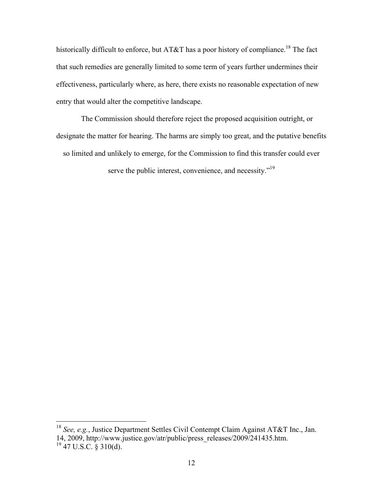historically difficult to enforce, but AT&T has a poor history of compliance.<sup>18</sup> The fact that such remedies are generally limited to some term of years further undermines their effectiveness, particularly where, as here, there exists no reasonable expectation of new entry that would alter the competitive landscape.

The Commission should therefore reject the proposed acquisition outright, or designate the matter for hearing. The harms are simply too great, and the putative benefits

so limited and unlikely to emerge, for the Commission to find this transfer could ever

serve the public interest, convenience, and necessity."<sup>19</sup>

 <sup>18</sup> *See, e.g.*, Justice Department Settles Civil Contempt Claim Against AT&T Inc., Jan. 14, 2009, http://www.justice.gov/atr/public/press\_releases/2009/241435.htm.  $^{19}$  47 U.S.C. § 310(d).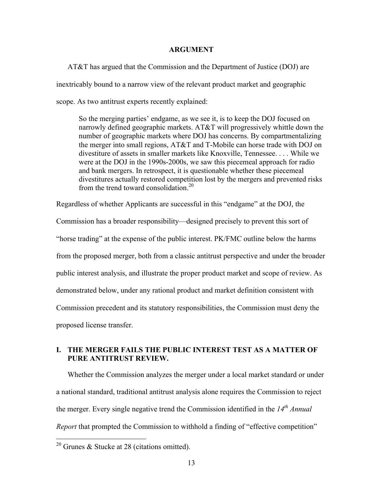#### **ARGUMENT**

AT&T has argued that the Commission and the Department of Justice (DOJ) are inextricably bound to a narrow view of the relevant product market and geographic scope. As two antitrust experts recently explained:

So the merging parties' endgame, as we see it, is to keep the DOJ focused on narrowly defined geographic markets. AT&T will progressively whittle down the number of geographic markets where DOJ has concerns. By compartmentalizing the merger into small regions, AT&T and T-Mobile can horse trade with DOJ on divestiture of assets in smaller markets like Knoxville, Tennessee. . . . While we were at the DOJ in the 1990s-2000s, we saw this piecemeal approach for radio and bank mergers. In retrospect, it is questionable whether these piecemeal divestitures actually restored competition lost by the mergers and prevented risks from the trend toward consolidation.<sup>20</sup>

Regardless of whether Applicants are successful in this "endgame" at the DOJ, the

Commission has a broader responsibility—designed precisely to prevent this sort of "horse trading" at the expense of the public interest. PK/FMC outline below the harms from the proposed merger, both from a classic antitrust perspective and under the broader public interest analysis, and illustrate the proper product market and scope of review. As demonstrated below, under any rational product and market definition consistent with Commission precedent and its statutory responsibilities, the Commission must deny the proposed license transfer.

# **I. THE MERGER FAILS THE PUBLIC INTEREST TEST AS A MATTER OF PURE ANTITRUST REVIEW.**

Whether the Commission analyzes the merger under a local market standard or under a national standard, traditional antitrust analysis alone requires the Commission to reject the merger. Every single negative trend the Commission identified in the *14th Annual Report* that prompted the Commission to withhold a finding of "effective competition"

<sup>&</sup>lt;sup>20</sup> Grunes & Stucke at 28 (citations omitted).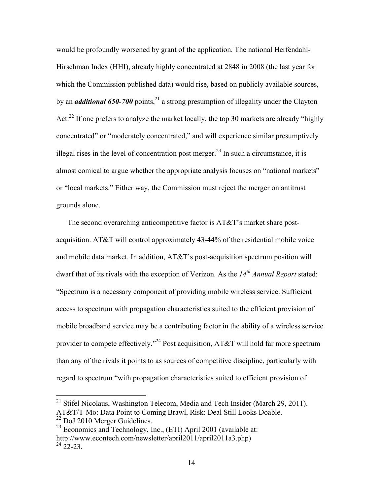would be profoundly worsened by grant of the application. The national Herfendahl-Hirschman Index (HHI), already highly concentrated at 2848 in 2008 (the last year for which the Commission published data) would rise, based on publicly available sources, by an *additional* 650-700 points,<sup>21</sup> a strong presumption of illegality under the Clayton Act.<sup>22</sup> If one prefers to analyze the market locally, the top 30 markets are already "highly" concentrated" or "moderately concentrated," and will experience similar presumptively illegal rises in the level of concentration post merger.<sup>23</sup> In such a circumstance, it is almost comical to argue whether the appropriate analysis focuses on "national markets" or "local markets." Either way, the Commission must reject the merger on antitrust grounds alone.

The second overarching anticompetitive factor is AT&T's market share postacquisition. AT&T will control approximately 43-44% of the residential mobile voice and mobile data market. In addition, AT&T's post-acquisition spectrum position will dwarf that of its rivals with the exception of Verizon. As the 14<sup>th</sup> Annual Report stated: "Spectrum is a necessary component of providing mobile wireless service. Sufficient access to spectrum with propagation characteristics suited to the efficient provision of mobile broadband service may be a contributing factor in the ability of a wireless service provider to compete effectively."<sup>24</sup> Post acquisition, AT&T will hold far more spectrum than any of the rivals it points to as sources of competitive discipline, particularly with regard to spectrum "with propagation characteristics suited to efficient provision of

<sup>&</sup>lt;sup>21</sup> Stifel Nicolaus, Washington Telecom, Media and Tech Insider (March 29, 2011). AT&T/T-Mo: Data Point to Coming Brawl, Risk: Deal Still Looks Doable.

<sup>&</sup>lt;sup>22</sup> DoJ 2010 Merger Guidelines.

 $23$  Economics and Technology, Inc., (ETI) April 2001 (available at: http://www.econtech.com/newsletter/april2011/april2011a3.php)  $^{24}$  22-23.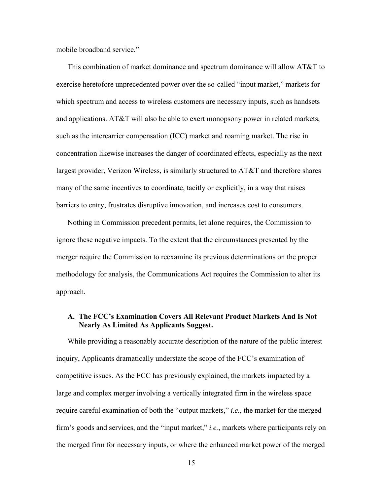mobile broadband service."

This combination of market dominance and spectrum dominance will allow AT&T to exercise heretofore unprecedented power over the so-called "input market," markets for which spectrum and access to wireless customers are necessary inputs, such as handsets and applications. AT&T will also be able to exert monopsony power in related markets, such as the intercarrier compensation (ICC) market and roaming market. The rise in concentration likewise increases the danger of coordinated effects, especially as the next largest provider, Verizon Wireless, is similarly structured to AT&T and therefore shares many of the same incentives to coordinate, tacitly or explicitly, in a way that raises barriers to entry, frustrates disruptive innovation, and increases cost to consumers.

Nothing in Commission precedent permits, let alone requires, the Commission to ignore these negative impacts. To the extent that the circumstances presented by the merger require the Commission to reexamine its previous determinations on the proper methodology for analysis, the Communications Act requires the Commission to alter its approach.

### **A. The FCC's Examination Covers All Relevant Product Markets And Is Not Nearly As Limited As Applicants Suggest.**

While providing a reasonably accurate description of the nature of the public interest inquiry, Applicants dramatically understate the scope of the FCC's examination of competitive issues. As the FCC has previously explained, the markets impacted by a large and complex merger involving a vertically integrated firm in the wireless space require careful examination of both the "output markets," *i.e.*, the market for the merged firm's goods and services, and the "input market," *i.e.*, markets where participants rely on the merged firm for necessary inputs, or where the enhanced market power of the merged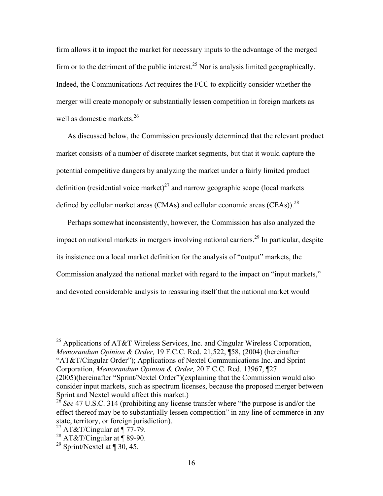firm allows it to impact the market for necessary inputs to the advantage of the merged firm or to the detriment of the public interest.<sup>25</sup> Nor is analysis limited geographically. Indeed, the Communications Act requires the FCC to explicitly consider whether the merger will create monopoly or substantially lessen competition in foreign markets as well as domestic markets.<sup>26</sup>

As discussed below, the Commission previously determined that the relevant product market consists of a number of discrete market segments, but that it would capture the potential competitive dangers by analyzing the market under a fairly limited product definition (residential voice market)<sup>27</sup> and narrow geographic scope (local markets defined by cellular market areas (CMAs) and cellular economic areas (CEAs)).<sup>28</sup>

Perhaps somewhat inconsistently, however, the Commission has also analyzed the impact on national markets in mergers involving national carriers.<sup>29</sup> In particular, despite its insistence on a local market definition for the analysis of "output" markets, the Commission analyzed the national market with regard to the impact on "input markets," and devoted considerable analysis to reassuring itself that the national market would

<sup>25</sup> Applications of AT&T Wireless Services, Inc. and Cingular Wireless Corporation, *Memorandum Opinion & Order,* 19 F.C.C. Rcd. 21,522, ¶58, (2004) (hereinafter "AT&T/Cingular Order"); Applications of Nextel Communications Inc. and Sprint Corporation, *Memorandum Opinion & Order,* 20 F.C.C. Rcd. 13967, ¶27 (2005)(hereinafter "Sprint/Nextel Order")(explaining that the Commission would also consider input markets, such as spectrum licenses, because the proposed merger between Sprint and Nextel would affect this market.)

<sup>&</sup>lt;sup>26</sup> See 47 U.S.C. 314 (prohibiting any license transfer where "the purpose is and/or the effect thereof may be to substantially lessen competition" in any line of commerce in any state, territory, or foreign jurisdiction).

 $^{27}$  AT&T/Cingular at  $\P$  77-79.

<sup>&</sup>lt;sup>28</sup> AT&T/Cingular at  $\overset{\circ}{\P}$  89-90.

<sup>&</sup>lt;sup>29</sup> Sprint/Nextel at  $\P$  30, 45.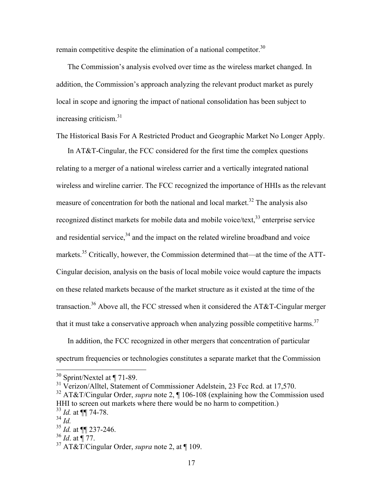remain competitive despite the elimination of a national competitor.<sup>30</sup>

The Commission's analysis evolved over time as the wireless market changed. In addition, the Commission's approach analyzing the relevant product market as purely local in scope and ignoring the impact of national consolidation has been subject to increasing criticism. $31$ 

The Historical Basis For A Restricted Product and Geographic Market No Longer Apply.

In AT&T-Cingular, the FCC considered for the first time the complex questions relating to a merger of a national wireless carrier and a vertically integrated national wireless and wireline carrier. The FCC recognized the importance of HHIs as the relevant measure of concentration for both the national and local market.<sup>32</sup> The analysis also recognized distinct markets for mobile data and mobile voice/text,<sup>33</sup> enterprise service and residential service, $34$  and the impact on the related wireline broadband and voice markets.35 Critically, however, the Commission determined that—at the time of the ATT-Cingular decision, analysis on the basis of local mobile voice would capture the impacts on these related markets because of the market structure as it existed at the time of the transaction.36 Above all, the FCC stressed when it considered the AT&T-Cingular merger that it must take a conservative approach when analyzing possible competitive harms.<sup>37</sup>

In addition, the FCC recognized in other mergers that concentration of particular spectrum frequencies or technologies constitutes a separate market that the Commission

 $^{34}$  *Id.* 

 <sup>30</sup> Sprint/Nextel at ¶ 71-89.

<sup>&</sup>lt;sup>31</sup> Verizon/Alltel, Statement of Commissioner Adelstein, 23 Fcc Rcd. at 17,570.

<sup>32</sup> AT&T/Cingular Order, *supra* note 2, ¶ 106-108 (explaining how the Commission used HHI to screen out markets where there would be no harm to competition.) <sup>33</sup> *Id.* at ¶¶ 74-78.

<sup>35</sup> *Id.* at ¶¶ 237-246.

<sup>36</sup> *Id*. at ¶ 77.

<sup>37</sup> AT&T/Cingular Order, *supra* note 2, at ¶ 109.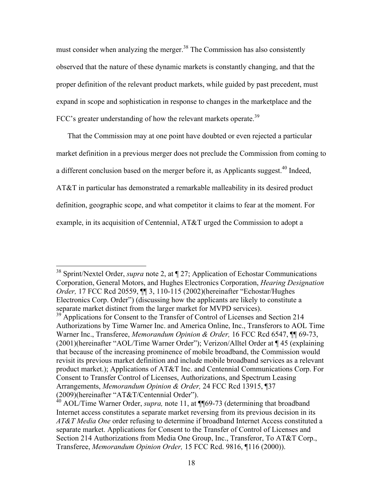must consider when analyzing the merger.<sup>38</sup> The Commission has also consistently observed that the nature of these dynamic markets is constantly changing, and that the proper definition of the relevant product markets, while guided by past precedent, must expand in scope and sophistication in response to changes in the marketplace and the FCC's greater understanding of how the relevant markets operate.<sup>39</sup>

That the Commission may at one point have doubted or even rejected a particular market definition in a previous merger does not preclude the Commission from coming to a different conclusion based on the merger before it, as Applicants suggest.<sup>40</sup> Indeed, AT&T in particular has demonstrated a remarkable malleability in its desired product definition, geographic scope, and what competitor it claims to fear at the moment. For example, in its acquisition of Centennial, AT&T urged the Commission to adopt a

 <sup>38</sup> Sprint/Nextel Order, *supra* note 2, at ¶ 27; Application of Echostar Communications Corporation, General Motors, and Hughes Electronics Corporation, *Hearing Designation Order,* 17 FCC Rcd 20559, ¶¶ 3, 110-115 (2002)(hereinafter "Echostar/Hughes Electronics Corp. Order") (discussing how the applicants are likely to constitute a separate market distinct from the larger market for MVPD services).

<sup>&</sup>lt;sup>39</sup> Applications for Consent to the Transfer of Control of Licenses and Section 214 Authorizations by Time Warner Inc. and America Online, Inc., Transferors to AOL Time Warner Inc., Transferee, *Memorandum Opinion & Order,* 16 FCC Rcd 6547, ¶¶ 69-73, (2001)(hereinafter "AOL/Time Warner Order"); Verizon/Alltel Order at ¶ 45 (explaining that because of the increasing prominence of mobile broadband, the Commission would revisit its previous market definition and include mobile broadband services as a relevant product market.); Applications of AT&T Inc. and Centennial Communications Corp. For Consent to Transfer Control of Licenses, Authorizations, and Spectrum Leasing Arrangements, *Memorandum Opinion & Order,* 24 FCC Rcd 13915, ¶37 (2009)(hereinafter "AT&T/Centennial Order").

<sup>&</sup>lt;sup>40</sup> AOL/Time Warner Order, *supra*, note 11, at ¶¶69-73 (determining that broadband Internet access constitutes a separate market reversing from its previous decision in its *AT&T Media One* order refusing to determine if broadband Internet Access constituted a separate market. Applications for Consent to the Transfer of Control of Licenses and Section 214 Authorizations from Media One Group, Inc., Transferor, To AT&T Corp., Transferee, *Memorandum Opinion Order,* 15 FCC Rcd. 9816, ¶116 (2000)).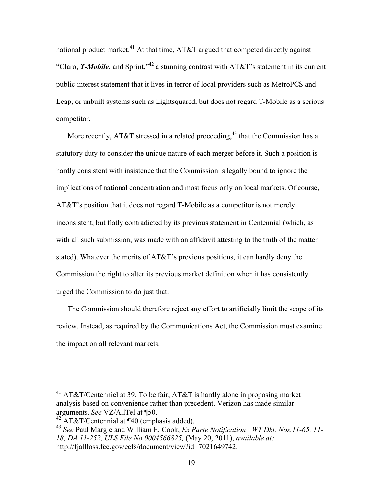national product market.<sup>41</sup> At that time, AT&T argued that competed directly against "Claro, *T-Mobile*, and Sprint,"<sup>42</sup> a stunning contrast with AT&T's statement in its current public interest statement that it lives in terror of local providers such as MetroPCS and Leap, or unbuilt systems such as Lightsquared, but does not regard T-Mobile as a serious competitor.

More recently, AT&T stressed in a related proceeding,<sup>43</sup> that the Commission has a statutory duty to consider the unique nature of each merger before it. Such a position is hardly consistent with insistence that the Commission is legally bound to ignore the implications of national concentration and most focus only on local markets. Of course, AT&T's position that it does not regard T-Mobile as a competitor is not merely inconsistent, but flatly contradicted by its previous statement in Centennial (which, as with all such submission, was made with an affidavit attesting to the truth of the matter stated). Whatever the merits of AT&T's previous positions, it can hardly deny the Commission the right to alter its previous market definition when it has consistently urged the Commission to do just that.

The Commission should therefore reject any effort to artificially limit the scope of its review. Instead, as required by the Communications Act, the Commission must examine the impact on all relevant markets.

<sup>&</sup>lt;sup>41</sup> AT&T/Centenniel at 39. To be fair, AT&T is hardly alone in proposing market analysis based on convenience rather than precedent. Verizon has made similar arguments. *See* VZ/AllTel at ¶50.

 $42$  AT&T/Centennial at ¶40 (emphasis added).

<sup>43</sup> *See* Paul Margie and William E. Cook, *Ex Parte Notification –WT Dkt. Nos.11-65, 11- 18, DA 11-252, ULS File No.0004566825,* (May 20, 2011), *available at:*  http://fjallfoss.fcc.gov/ecfs/document/view?id=7021649742.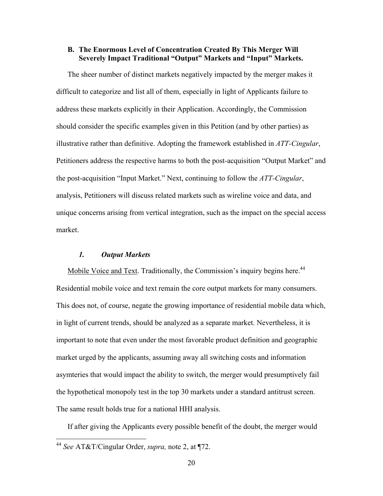### **B. The Enormous Level of Concentration Created By This Merger Will Severely Impact Traditional "Output" Markets and "Input" Markets.**

The sheer number of distinct markets negatively impacted by the merger makes it difficult to categorize and list all of them, especially in light of Applicants failure to address these markets explicitly in their Application. Accordingly, the Commission should consider the specific examples given in this Petition (and by other parties) as illustrative rather than definitive. Adopting the framework established in *ATT-Cingular*, Petitioners address the respective harms to both the post-acquisition "Output Market" and the post-acquisition "Input Market." Next, continuing to follow the *ATT-Cingular*, analysis, Petitioners will discuss related markets such as wireline voice and data, and unique concerns arising from vertical integration, such as the impact on the special access market.

### *1. Output Markets*

Mobile Voice and Text. Traditionally, the Commission's inquiry begins here.<sup>44</sup> Residential mobile voice and text remain the core output markets for many consumers. This does not, of course, negate the growing importance of residential mobile data which, in light of current trends, should be analyzed as a separate market. Nevertheless, it is important to note that even under the most favorable product definition and geographic market urged by the applicants, assuming away all switching costs and information asymteries that would impact the ability to switch, the merger would presumptively fail the hypothetical monopoly test in the top 30 markets under a standard antitrust screen. The same result holds true for a national HHI analysis.

If after giving the Applicants every possible benefit of the doubt, the merger would

 <sup>44</sup> *See* AT&T/Cingular Order, *supra,* note 2, at ¶72.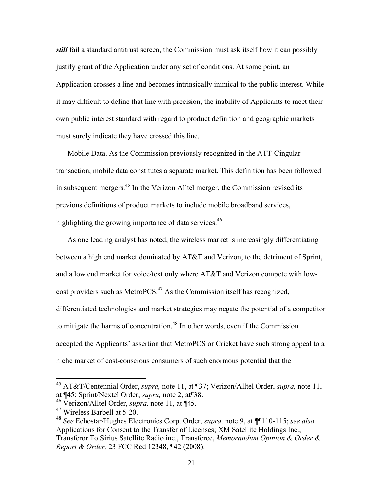*still* fail a standard antitrust screen, the Commission must ask itself how it can possibly justify grant of the Application under any set of conditions. At some point, an Application crosses a line and becomes intrinsically inimical to the public interest. While it may difficult to define that line with precision, the inability of Applicants to meet their own public interest standard with regard to product definition and geographic markets must surely indicate they have crossed this line.

Mobile Data. As the Commission previously recognized in the ATT-Cingular transaction, mobile data constitutes a separate market. This definition has been followed in subsequent mergers.45 In the Verizon Alltel merger, the Commission revised its previous definitions of product markets to include mobile broadband services, highlighting the growing importance of data services.<sup>46</sup>

As one leading analyst has noted, the wireless market is increasingly differentiating between a high end market dominated by AT&T and Verizon, to the detriment of Sprint, and a low end market for voice/text only where AT&T and Verizon compete with lowcost providers such as MetroPCS. $47$  As the Commission itself has recognized, differentiated technologies and market strategies may negate the potential of a competitor to mitigate the harms of concentration.<sup>48</sup> In other words, even if the Commission accepted the Applicants' assertion that MetroPCS or Cricket have such strong appeal to a niche market of cost-conscious consumers of such enormous potential that the

 <sup>45</sup> AT&T/Centennial Order, *supra,* note 11, at ¶37; Verizon/Alltel Order, *supra,* note 11, at ¶45; Sprint/Nextel Order, *supra,* note 2, at¶38.

<sup>46</sup> Verizon/Alltel Order, *supra,* note 11, at ¶45.

<sup>47</sup> Wireless Barbell at 5-20.

<sup>48</sup> *See* Echostar/Hughes Electronics Corp. Order, *supra,* note 9, at ¶¶110-115; *see also* Applications for Consent to the Transfer of Licenses; XM Satellite Holdings Inc., Transferor To Sirius Satellite Radio inc., Transferee, *Memorandum Opinion & Order & Report & Order,* 23 FCC Rcd 12348, ¶42 (2008).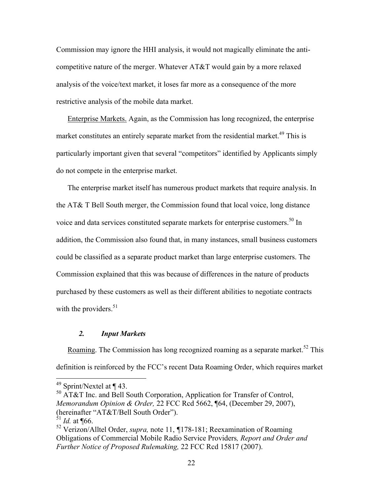Commission may ignore the HHI analysis, it would not magically eliminate the anticompetitive nature of the merger. Whatever AT&T would gain by a more relaxed analysis of the voice/text market, it loses far more as a consequence of the more restrictive analysis of the mobile data market.

Enterprise Markets. Again, as the Commission has long recognized, the enterprise market constitutes an entirely separate market from the residential market.<sup>49</sup> This is particularly important given that several "competitors" identified by Applicants simply do not compete in the enterprise market.

The enterprise market itself has numerous product markets that require analysis. In the AT& T Bell South merger, the Commission found that local voice, long distance voice and data services constituted separate markets for enterprise customers.<sup>50</sup> In addition, the Commission also found that, in many instances, small business customers could be classified as a separate product market than large enterprise customers. The Commission explained that this was because of differences in the nature of products purchased by these customers as well as their different abilities to negotiate contracts with the providers. $51$ 

### *2. Input Markets*

Roaming. The Commission has long recognized roaming as a separate market.<sup>52</sup> This definition is reinforced by the FCC's recent Data Roaming Order, which requires market

 $49$  Sprint/Nextel at ¶ 43.

 $50$  AT&T Inc. and Bell South Corporation, Application for Transfer of Control, *Memorandum Opinion & Order,* 22 FCC Rcd 5662, ¶64, (December 29, 2007), (hereinafter "AT&T/Bell South Order").

 $\int_{0}^{51}$ *Id.* at ¶66.

<sup>52</sup> Verizon/Alltel Order, *supra,* note 11, *¶*178-181; Reexamination of Roaming Obligations of Commercial Mobile Radio Service Providers*, Report and Order and Further Notice of Proposed Rulemaking,* 22 FCC Rcd 15817 (2007).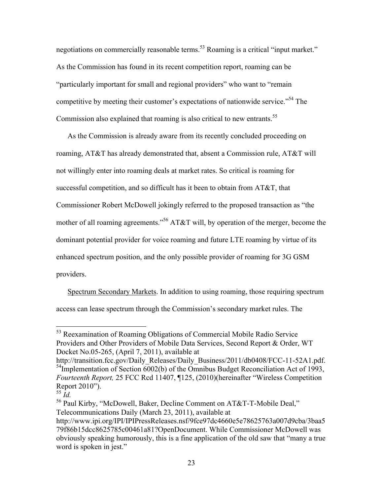negotiations on commercially reasonable terms.<sup>53</sup> Roaming is a critical "input market." As the Commission has found in its recent competition report, roaming can be "particularly important for small and regional providers" who want to "remain competitive by meeting their customer's expectations of nationwide service."54 The Commission also explained that roaming is also critical to new entrants.<sup>55</sup>

As the Commission is already aware from its recently concluded proceeding on roaming, AT&T has already demonstrated that, absent a Commission rule, AT&T will not willingly enter into roaming deals at market rates. So critical is roaming for successful competition, and so difficult has it been to obtain from AT&T, that Commissioner Robert McDowell jokingly referred to the proposed transaction as "the mother of all roaming agreements."<sup>56</sup> AT&T will, by operation of the merger, become the dominant potential provider for voice roaming and future LTE roaming by virtue of its enhanced spectrum position, and the only possible provider of roaming for 3G GSM providers.

Spectrum Secondary Markets. In addition to using roaming, those requiring spectrum access can lease spectrum through the Commission's secondary market rules. The

<sup>&</sup>lt;sup>53</sup> Reexamination of Roaming Obligations of Commercial Mobile Radio Service Providers and Other Providers of Mobile Data Services, Second Report & Order, WT Docket No.05-265, (April 7, 2011), available at

http://transition.fcc.gov/Daily\_Releases/Daily\_Business/2011/db0408/FCC-11-52A1.pdf.<br><sup>54</sup>Implementation of Section 6002(b) of the Omnibus Budget Reconciliation Act of 1993, *Fourteenth Report,* 25 FCC Rcd 11407, ¶125, (2010)(hereinafter "Wireless Competition Report 2010").

<sup>55</sup> *Id.*

<sup>56</sup> Paul Kirby, "McDowell, Baker, Decline Comment on AT&T-T-Mobile Deal," Telecommunications Daily (March 23, 2011), available at

http://www.ipi.org/IPI/IPIPressReleases.nsf/9fce97dc4660e5e78625763a007d9cba/3baa5 79f86b15dcc8625785c00461a81?OpenDocument. While Commissioner McDowell was obviously speaking humorously, this is a fine application of the old saw that "many a true word is spoken in jest."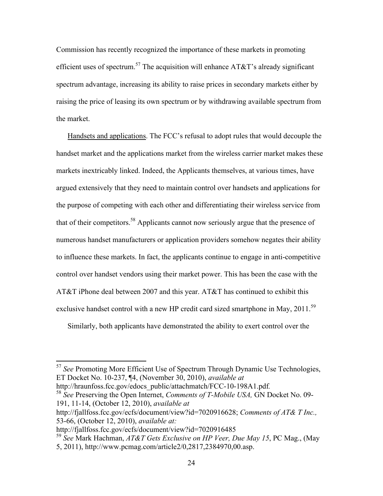Commission has recently recognized the importance of these markets in promoting efficient uses of spectrum.<sup>57</sup> The acquisition will enhance  $AT&T$ 's already significant spectrum advantage, increasing its ability to raise prices in secondary markets either by raising the price of leasing its own spectrum or by withdrawing available spectrum from the market.

Handsets and applications. The FCC's refusal to adopt rules that would decouple the handset market and the applications market from the wireless carrier market makes these markets inextricably linked. Indeed, the Applicants themselves, at various times, have argued extensively that they need to maintain control over handsets and applications for the purpose of competing with each other and differentiating their wireless service from that of their competitors.<sup>58</sup> Applicants cannot now seriously argue that the presence of numerous handset manufacturers or application providers somehow negates their ability to influence these markets. In fact, the applicants continue to engage in anti-competitive control over handset vendors using their market power. This has been the case with the AT&T iPhone deal between 2007 and this year. AT&T has continued to exhibit this exclusive handset control with a new HP credit card sized smartphone in May, 2011.<sup>59</sup>

Similarly, both applicants have demonstrated the ability to exert control over the

 57 *See* Promoting More Efficient Use of Spectrum Through Dynamic Use Technologies, ET Docket No. 10-237, ¶4, (November 30, 2010), *available at* 

http://hraunfoss.fcc.gov/edocs\_public/attachmatch/FCC-10-198A1.pdf*.* <sup>58</sup> *See* Preserving the Open Internet, *Comments of T-Mobile USA,* GN Docket No. 09- 191, 11-14, (October 12, 2010), *available at* 

http://fjallfoss.fcc.gov/ecfs/document/view?id=7020916628; *Comments of AT& T Inc.,*  53-66, (October 12, 2010), *available at:* 

http://fjallfoss.fcc.gov/ecfs/document/view?id=7020916485

<sup>59</sup> *See* Mark Hachman, *AT&T Gets Exclusive on HP Veer, Due May 15*, PC Mag., (May 5, 2011), http://www.pcmag.com/article2/0,2817,2384970,00.asp.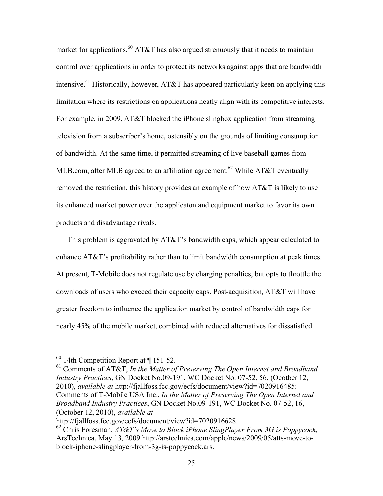market for applications.<sup>60</sup> AT&T has also argued strenuously that it needs to maintain control over applications in order to protect its networks against apps that are bandwidth intensive.<sup>61</sup> Historically, however, AT&T has appeared particularly keen on applying this limitation where its restrictions on applications neatly align with its competitive interests. For example, in 2009, AT&T blocked the iPhone slingbox application from streaming television from a subscriber's home, ostensibly on the grounds of limiting consumption of bandwidth. At the same time, it permitted streaming of live baseball games from MLB.com, after MLB agreed to an affiliation agreement.<sup>62</sup> While AT&T eventually removed the restriction, this history provides an example of how AT&T is likely to use its enhanced market power over the applicaton and equipment market to favor its own products and disadvantage rivals.

This problem is aggravated by AT&T's bandwidth caps, which appear calculated to enhance AT&T's profitability rather than to limit bandwidth consumption at peak times. At present, T-Mobile does not regulate use by charging penalties, but opts to throttle the downloads of users who exceed their capacity caps. Post-acquisition, AT&T will have greater freedom to influence the application market by control of bandwidth caps for nearly 45% of the mobile market, combined with reduced alternatives for dissatisfied

61 Comments of AT&T, *In the Matter of Preserving The Open Internet and Broadband Industry Practices*, GN Docket No.09-191, WC Docket No. 07-52, 56, (Ocotber 12, 2010), *available at* http://fjallfoss.fcc.gov/ecfs/document/view?id=7020916485; Comments of T-Mobile USA Inc., *In the Matter of Preserving The Open Internet and Broadband Industry Practices*, GN Docket No.09-191, WC Docket No. 07-52, 16, (October 12, 2010), *available at* 

 $60$  14th Competition Report at  $\P$  151-52.

http://fjallfoss.fcc.gov/ecfs/document/view?id=7020916628.

<sup>62</sup> Chris Foresman, *AT&T's Move to Block iPhone SlingPlayer From 3G is Poppycock,*  ArsTechnica, May 13, 2009 http://arstechnica.com/apple/news/2009/05/atts-move-toblock-iphone-slingplayer-from-3g-is-poppycock.ars.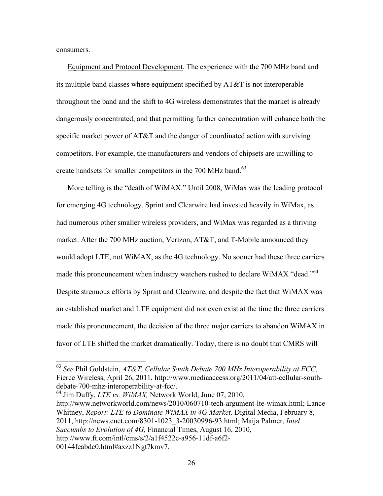consumers.

Equipment and Protocol Development. The experience with the 700 MHz band and its multiple band classes where equipment specified by AT&T is not interoperable throughout the band and the shift to 4G wireless demonstrates that the market is already dangerously concentrated, and that permitting further concentration will enhance both the specific market power of AT&T and the danger of coordinated action with surviving competitors. For example, the manufacturers and vendors of chipsets are unwilling to create handsets for smaller competitors in the 700 MHz band.<sup>63</sup>

More telling is the "death of WiMAX." Until 2008, WiMax was the leading protocol for emerging 4G technology. Sprint and Clearwire had invested heavily in WiMax, as had numerous other smaller wireless providers, and WiMax was regarded as a thriving market. After the 700 MHz auction, Verizon, AT&T, and T-Mobile announced they would adopt LTE, not WiMAX, as the 4G technology. No sooner had these three carriers made this pronouncement when industry watchers rushed to declare WiMAX "dead."<sup>64</sup> Despite strenuous efforts by Sprint and Clearwire, and despite the fact that WiMAX was an established market and LTE equipment did not even exist at the time the three carriers made this pronouncement, the decision of the three major carriers to abandon WiMAX in favor of LTE shifted the market dramatically. Today, there is no doubt that CMRS will

64 Jim Duffy, *LTE vs. WiMAX,* Network World, June 07, 2010, http://www.networkworld.com/news/2010/060710-tech-argument-lte-wimax.html; Lance Whitney, *Report: LTE to Dominate WiMAX in 4G Market,* Digital Media, February 8, 2011, http://news.cnet.com/8301-1023\_3-20030996-93.html; Maija Palmer, *Intel Succumbs to Evolution of 4G,* Financial Times, August 16, 2010, http://www.ft.com/intl/cms/s/2/a1f4522c-a956-11df-a6f2- 00144feabdc0.html#axzz1Ngt7kmv7.

 <sup>63</sup> *See* Phil Goldstein, *AT&T, Cellular South Debate 700 MHz Interoperability at FCC,*  Fierce Wireless, April 26, 2011, http://www.mediaaccess.org/2011/04/att-cellular-southdebate-700-mhz-interoperability-at-fcc/.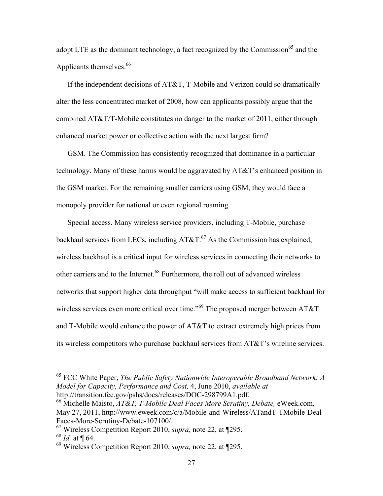adopt LTE as the dominant technology, a fact recognized by the Commission<sup>65</sup> and the Applicants themselves.<sup>66</sup>

If the independent decisions of AT&T, T-Mobile and Verizon could so dramatically alter the less concentrated market of 2008, how can applicants possibly argue that the combined AT&T/T-Mobile constitutes no danger to the market of 2011, either through enhanced market power or collective action with the next largest firm?

GSM. The Commission has consistently recognized that dominance in a particular technology. Many of these harms would be aggravated by AT&T's enhanced position in the GSM market. For the remaining smaller carriers using GSM, they would face a monopoly provider for national or even regional roaming.

Special access. Many wireless service providers, including T-Mobile, purchase backhaul services from LECs, including  $AT&T.^{67}$  As the Commission has explained, wireless backhaul is a critical input for wireless services in connecting their networks to other carriers and to the Internet.68 Furthermore, the roll out of advanced wireless networks that support higher data throughput "will make access to sufficient backhaul for wireless services even more critical over time."<sup>69</sup> The proposed merger between AT&T and T-Mobile would enhance the power of AT&T to extract extremely high prices from its wireless competitors who purchase backhaul services from AT&T's wireline services.

 <sup>65</sup> FCC White Paper, *The Public Safety Nationwide Interoperable Broadband Network: A Model for Capacity, Performance and Cost,* 4, June 2010, *available at*  http://transition.fcc.gov/pshs/docs/releases/DOC-298799A1.pdf.

<sup>66</sup> Michelle Maisto, *AT&T, T-Mobile Deal Faces More Scrutiny, Debate,* eWeek.com, May 27, 2011, http://www.eweek.com/c/a/Mobile-and-Wireless/ATandT-TMobile-Deal-Faces-More-Scrutiny-Debate-107100/.

<sup>67</sup> Wireless Competition Report 2010, *supra,* note 22, at ¶295.

<sup>68</sup> *Id.* at ¶ 64.

<sup>69</sup> Wireless Competition Report 2010, *supra,* note 22, at ¶295.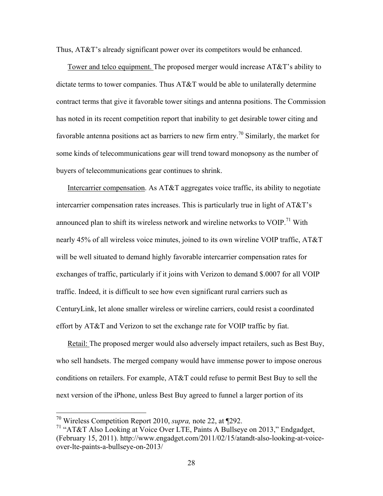Thus, AT&T's already significant power over its competitors would be enhanced.

Tower and telco equipment. The proposed merger would increase AT&T's ability to dictate terms to tower companies. Thus AT&T would be able to unilaterally determine contract terms that give it favorable tower sitings and antenna positions. The Commission has noted in its recent competition report that inability to get desirable tower citing and favorable antenna positions act as barriers to new firm entry.<sup>70</sup> Similarly, the market for some kinds of telecommunications gear will trend toward monopsony as the number of buyers of telecommunications gear continues to shrink.

Intercarrier compensation. As AT&T aggregates voice traffic, its ability to negotiate intercarrier compensation rates increases. This is particularly true in light of AT&T's announced plan to shift its wireless network and wireline networks to  $VOIP.<sup>71</sup>$  With nearly 45% of all wireless voice minutes, joined to its own wireline VOIP traffic, AT&T will be well situated to demand highly favorable intercarrier compensation rates for exchanges of traffic, particularly if it joins with Verizon to demand \$.0007 for all VOIP traffic. Indeed, it is difficult to see how even significant rural carriers such as CenturyLink, let alone smaller wireless or wireline carriers, could resist a coordinated effort by AT&T and Verizon to set the exchange rate for VOIP traffic by fiat.

Retail: The proposed merger would also adversely impact retailers, such as Best Buy, who sell handsets. The merged company would have immense power to impose onerous conditions on retailers. For example, AT&T could refuse to permit Best Buy to sell the next version of the iPhone, unless Best Buy agreed to funnel a larger portion of its

 <sup>70</sup> Wireless Competition Report 2010, *supra,* note 22, at ¶292.

<sup>&</sup>lt;sup>71</sup> "AT&T Also Looking at Voice Over LTE, Paints A Bullseye on 2013," Endgadget, (February 15, 2011). http://www.engadget.com/2011/02/15/atandt-also-looking-at-voiceover-lte-paints-a-bullseye-on-2013/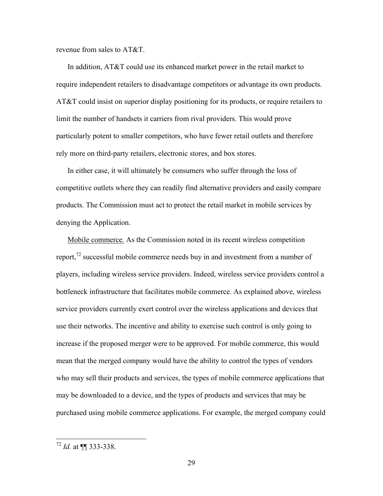revenue from sales to AT&T.

In addition, AT&T could use its enhanced market power in the retail market to require independent retailers to disadvantage competitors or advantage its own products. AT&T could insist on superior display positioning for its products, or require retailers to limit the number of handsets it carriers from rival providers. This would prove particularly potent to smaller competitors, who have fewer retail outlets and therefore rely more on third-party retailers, electronic stores, and box stores.

In either case, it will ultimately be consumers who suffer through the loss of competitive outlets where they can readily find alternative providers and easily compare products. The Commission must act to protect the retail market in mobile services by denying the Application.

Mobile commerce. As the Commission noted in its recent wireless competition report,<sup>72</sup> successful mobile commerce needs buy in and investment from a number of players, including wireless service providers. Indeed, wireless service providers control a bottleneck infrastructure that facilitates mobile commerce. As explained above, wireless service providers currently exert control over the wireless applications and devices that use their networks. The incentive and ability to exercise such control is only going to increase if the proposed merger were to be approved. For mobile commerce, this would mean that the merged company would have the ability to control the types of vendors who may sell their products and services, the types of mobile commerce applications that may be downloaded to a device, and the types of products and services that may be purchased using mobile commerce applications. For example, the merged company could

 <sup>72</sup> *Id.* at ¶¶ 333-338.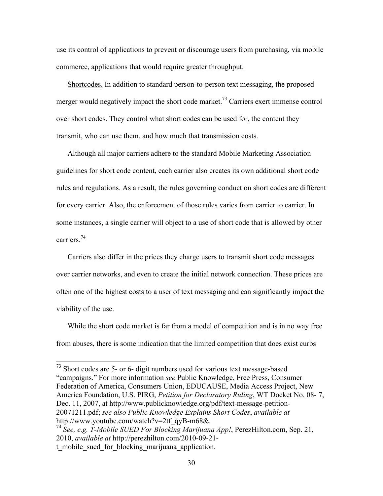use its control of applications to prevent or discourage users from purchasing, via mobile commerce, applications that would require greater throughput.

Shortcodes. In addition to standard person-to-person text messaging, the proposed merger would negatively impact the short code market.<sup>73</sup> Carriers exert immense control over short codes. They control what short codes can be used for, the content they transmit, who can use them, and how much that transmission costs.

Although all major carriers adhere to the standard Mobile Marketing Association guidelines for short code content, each carrier also creates its own additional short code rules and regulations. As a result, the rules governing conduct on short codes are different for every carrier. Also, the enforcement of those rules varies from carrier to carrier. In some instances, a single carrier will object to a use of short code that is allowed by other carriers.<sup>74</sup>

Carriers also differ in the prices they charge users to transmit short code messages over carrier networks, and even to create the initial network connection. These prices are often one of the highest costs to a user of text messaging and can significantly impact the viability of the use.

While the short code market is far from a model of competition and is in no way free from abuses, there is some indication that the limited competition that does exist curbs

<sup>&</sup>lt;sup>73</sup> Short codes are 5- or 6- digit numbers used for various text message-based "campaigns." For more information *see* Public Knowledge, Free Press, Consumer Federation of America, Consumers Union, EDUCAUSE, Media Access Project, New America Foundation, U.S. PIRG, *Petition for Declaratory Ruling*, WT Docket No. 08- 7, Dec. 11, 2007, at http://www.publicknowledge.org/pdf/text-message-petition-20071211.pdf; *see also Public Knowledge Explains Short Codes*, *available at*  http://www.youtube.com/watch?v=2tf\_qyB-m68&.

<sup>74</sup> *See, e.g. T-Mobile SUED For Blocking Marijuana App!*, PerezHilton.com, Sep. 21, 2010, *available at* http://perezhilton.com/2010-09-21 t\_mobile\_sued\_for\_blocking\_marijuana\_application.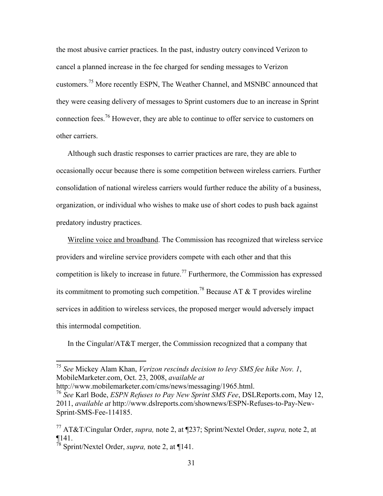the most abusive carrier practices. In the past, industry outcry convinced Verizon to cancel a planned increase in the fee charged for sending messages to Verizon customers.75 More recently ESPN, The Weather Channel, and MSNBC announced that they were ceasing delivery of messages to Sprint customers due to an increase in Sprint connection fees.<sup>76</sup> However, they are able to continue to offer service to customers on other carriers.

Although such drastic responses to carrier practices are rare, they are able to occasionally occur because there is some competition between wireless carriers. Further consolidation of national wireless carriers would further reduce the ability of a business, organization, or individual who wishes to make use of short codes to push back against predatory industry practices.

Wireline voice and broadband. The Commission has recognized that wireless service providers and wireline service providers compete with each other and that this competition is likely to increase in future.<sup>77</sup> Furthermore, the Commission has expressed its commitment to promoting such competition.<sup>78</sup> Because AT  $\&$  T provides wireline services in addition to wireless services, the proposed merger would adversely impact this intermodal competition.

In the Cingular/AT&T merger, the Commission recognized that a company that

http://www.mobilemarketer.com/cms/news/messaging/1965.html.

 <sup>75</sup> *See* Mickey Alam Khan, *Verizon rescinds decision to levy SMS fee hike Nov. 1*, MobileMarketer.com, Oct. 23, 2008, *available at*

<sup>76</sup> *See* Karl Bode, *ESPN Refuses to Pay New Sprint SMS Fee*, DSLReports.com, May 12, 2011, *available at* http://www.dslreports.com/shownews/ESPN-Refuses-to-Pay-New-Sprint-SMS-Fee-114185.

<sup>77</sup> AT&T/Cingular Order, *supra,* note 2, at ¶237; Sprint/Nextel Order, *supra,* note 2, at ¶141.

<sup>78</sup> Sprint/Nextel Order, *supra,* note 2, at ¶141.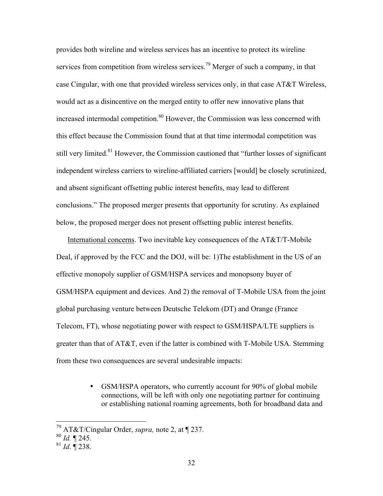provides both wireline and wireless services has an incentive to protect its wireline services from competition from wireless services.<sup>79</sup> Merger of such a company, in that case Cingular, with one that provided wireless services only, in that case AT&T Wireless, would act as a disincentive on the merged entity to offer new innovative plans that increased intermodal competition. 80 However, the Commission was less concerned with this effect because the Commission found that at that time intermodal competition was still very limited.<sup>81</sup> However, the Commission cautioned that "further losses of significant" independent wireless carriers to wireline-affiliated carriers [would] be closely scrutinized, and absent significant offsetting public interest benefits, may lead to different conclusions." The proposed merger presents that opportunity for scrutiny. As explained below, the proposed merger does not present offsetting public interest benefits.

International concerns. Two inevitable key consequences of the AT&T/T-Mobile Deal, if approved by the FCC and the DOJ, will be: 1)The establishment in the US of an effective monopoly supplier of GSM/HSPA services and monopsony buyer of GSM/HSPA equipment and devices. And 2) the removal of T-Mobile USA from the joint global purchasing venture between Deutsche Telekom (DT) and Orange (France Telecom, FT), whose negotiating power with respect to GSM/HSPA/LTE suppliers is greater than that of AT&T, even if the latter is combined with T-Mobile USA. Stemming from these two consequences are several undesirable impacts:

> • GSM/HSPA operators, who currently account for 90% of global mobile connections, will be left with only one negotiating partner for continuing or establishing national roaming agreements, both for broadband data and

 <sup>79</sup> AT&T/Cingular Order, *supra,* note 2, at ¶ 237.

<sup>80</sup> *Id.* ¶ 245.

 $^{81}$  *Id*.  $\overline{9}$  238.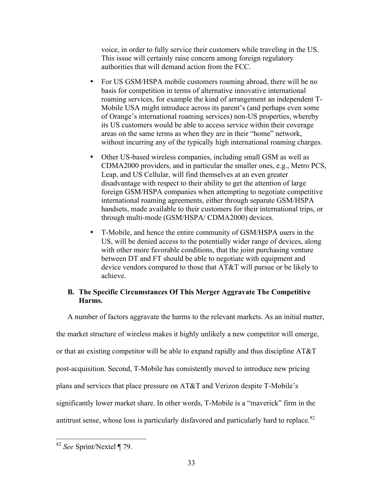voice, in order to fully service their customers while traveling in the US. This issue will certainly raise concern among foreign regulatory authorities that will demand action from the FCC.

- For US GSM/HSPA mobile customers roaming abroad, there will be no basis for competition in terms of alternative innovative international roaming services, for example the kind of arrangement an independent T-Mobile USA might introduce across its parent's (and perhaps even some of Orange's international roaming services) non-US properties, whereby its US customers would be able to access service within their coverage areas on the same terms as when they are in their "home" network, without incurring any of the typically high international roaming charges.
- Other US-based wireless companies, including small GSM as well as CDMA2000 providers, and in particular the smaller ones, e.g., Metro PCS, Leap, and US Cellular, will find themselves at an even greater disadvantage with respect to their ability to get the attention of large foreign GSM/HSPA companies when attempting to negotiate competitive international roaming agreements, either through separate GSM/HSPA handsets, made available to their customers for their international trips, or through multi-mode (GSM/HSPA/ CDMA2000) devices.
- T-Mobile, and hence the entire community of GSM/HSPA users in the US, will be denied access to the potentially wider range of devices, along with other more favorable conditions, that the joint purchasing venture between DT and FT should be able to negotiate with equipment and device vendors compared to those that AT&T will pursue or be likely to achieve.

# **B. The Specific Circumstances Of This Merger Aggravate The Competitive Harms.**

A number of factors aggravate the harms to the relevant markets. As an initial matter, the market structure of wireless makes it highly unlikely a new competitor will emerge, or that an existing competitor will be able to expand rapidly and thus discipline AT&T post-acquisition. Second, T-Mobile has consistently moved to introduce new pricing plans and services that place pressure on AT&T and Verizon despite T-Mobile's significantly lower market share. In other words, T-Mobile is a "maverick" firm in the antitrust sense, whose loss is particularly disfavored and particularly hard to replace. $82$ 

 <sup>82</sup> *See* Sprint/Nextel ¶ 79.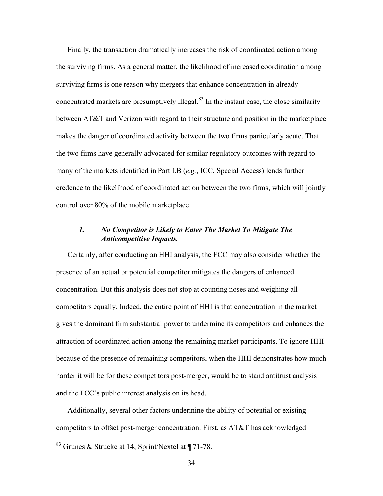Finally, the transaction dramatically increases the risk of coordinated action among the surviving firms. As a general matter, the likelihood of increased coordination among surviving firms is one reason why mergers that enhance concentration in already concentrated markets are presumptively illegal. $83$  In the instant case, the close similarity between AT&T and Verizon with regard to their structure and position in the marketplace makes the danger of coordinated activity between the two firms particularly acute. That the two firms have generally advocated for similar regulatory outcomes with regard to many of the markets identified in Part I.B (*e.g.*, ICC, Special Access) lends further credence to the likelihood of coordinated action between the two firms, which will jointly control over 80% of the mobile marketplace.

### *1. No Competitor is Likely to Enter The Market To Mitigate The Anticompetitive Impacts.*

Certainly, after conducting an HHI analysis, the FCC may also consider whether the presence of an actual or potential competitor mitigates the dangers of enhanced concentration. But this analysis does not stop at counting noses and weighing all competitors equally. Indeed, the entire point of HHI is that concentration in the market gives the dominant firm substantial power to undermine its competitors and enhances the attraction of coordinated action among the remaining market participants. To ignore HHI because of the presence of remaining competitors, when the HHI demonstrates how much harder it will be for these competitors post-merger, would be to stand antitrust analysis and the FCC's public interest analysis on its head.

Additionally, several other factors undermine the ability of potential or existing competitors to offset post-merger concentration. First, as AT&T has acknowledged

 <sup>83</sup> Grunes & Strucke at 14; Sprint/Nextel at ¶ 71-78.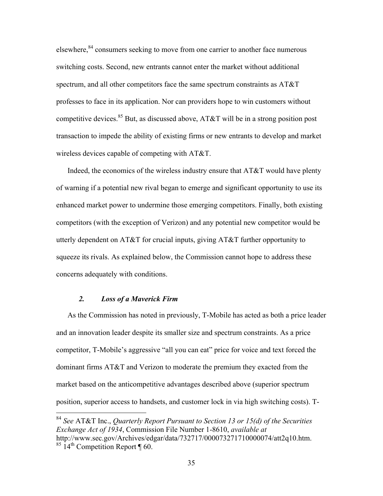elsewhere,<sup>84</sup> consumers seeking to move from one carrier to another face numerous switching costs. Second, new entrants cannot enter the market without additional spectrum, and all other competitors face the same spectrum constraints as AT&T professes to face in its application. Nor can providers hope to win customers without competitive devices.<sup>85</sup> But, as discussed above, AT&T will be in a strong position post transaction to impede the ability of existing firms or new entrants to develop and market wireless devices capable of competing with AT&T.

Indeed, the economics of the wireless industry ensure that AT&T would have plenty of warning if a potential new rival began to emerge and significant opportunity to use its enhanced market power to undermine those emerging competitors. Finally, both existing competitors (with the exception of Verizon) and any potential new competitor would be utterly dependent on  $AT&T$  for crucial inputs, giving  $AT&T$  further opportunity to squeeze its rivals. As explained below, the Commission cannot hope to address these concerns adequately with conditions.

#### *2. Loss of a Maverick Firm*

As the Commission has noted in previously, T-Mobile has acted as both a price leader and an innovation leader despite its smaller size and spectrum constraints. As a price competitor, T-Mobile's aggressive "all you can eat" price for voice and text forced the dominant firms AT&T and Verizon to moderate the premium they exacted from the market based on the anticompetitive advantages described above (superior spectrum position, superior access to handsets, and customer lock in via high switching costs). T-

 <sup>84</sup> *See* AT&T Inc., *Quarterly Report Pursuant to Section 13 or 15(d) of the Securities Exchange Act of 1934*, Commission File Number 1-8610, *available at*  http://www.sec.gov/Archives/edgar/data/732717/000073271710000074/att2q10.htm.  $85 \text{ 14}$ <sup>th</sup> Competition Report [ 60.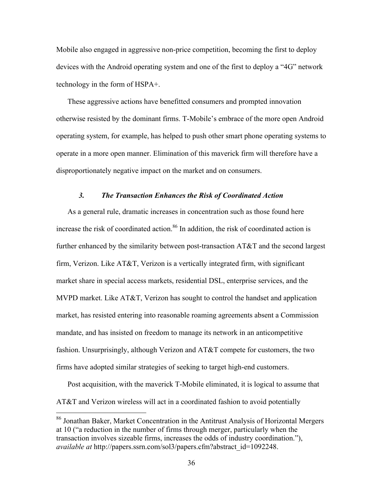Mobile also engaged in aggressive non-price competition, becoming the first to deploy devices with the Android operating system and one of the first to deploy a "4G" network technology in the form of HSPA+.

These aggressive actions have benefitted consumers and prompted innovation otherwise resisted by the dominant firms. T-Mobile's embrace of the more open Android operating system, for example, has helped to push other smart phone operating systems to operate in a more open manner. Elimination of this maverick firm will therefore have a disproportionately negative impact on the market and on consumers.

### *3. The Transaction Enhances the Risk of Coordinated Action*

As a general rule, dramatic increases in concentration such as those found here increase the risk of coordinated action.<sup>86</sup> In addition, the risk of coordinated action is further enhanced by the similarity between post-transaction AT&T and the second largest firm, Verizon. Like AT&T, Verizon is a vertically integrated firm, with significant market share in special access markets, residential DSL, enterprise services, and the MVPD market. Like  $AT&T$ , Verizon has sought to control the handset and application market, has resisted entering into reasonable roaming agreements absent a Commission mandate, and has insisted on freedom to manage its network in an anticompetitive fashion. Unsurprisingly, although Verizon and AT&T compete for customers, the two firms have adopted similar strategies of seeking to target high-end customers.

Post acquisition, with the maverick T-Mobile eliminated, it is logical to assume that AT&T and Verizon wireless will act in a coordinated fashion to avoid potentially

 <sup>86</sup> Jonathan Baker, Market Concentration in the Antitrust Analysis of Horizontal Mergers at 10 ("a reduction in the number of firms through merger, particularly when the transaction involves sizeable firms, increases the odds of industry coordination."), *available at* http://papers.ssrn.com/sol3/papers.cfm?abstract\_id=1092248.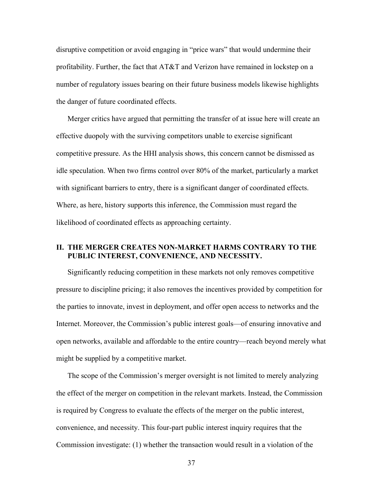disruptive competition or avoid engaging in "price wars" that would undermine their profitability. Further, the fact that AT&T and Verizon have remained in lockstep on a number of regulatory issues bearing on their future business models likewise highlights the danger of future coordinated effects.

Merger critics have argued that permitting the transfer of at issue here will create an effective duopoly with the surviving competitors unable to exercise significant competitive pressure. As the HHI analysis shows, this concern cannot be dismissed as idle speculation. When two firms control over 80% of the market, particularly a market with significant barriers to entry, there is a significant danger of coordinated effects. Where, as here, history supports this inference, the Commission must regard the likelihood of coordinated effects as approaching certainty.

# **II. THE MERGER CREATES NON-MARKET HARMS CONTRARY TO THE PUBLIC INTEREST, CONVENIENCE, AND NECESSITY.**

Significantly reducing competition in these markets not only removes competitive pressure to discipline pricing; it also removes the incentives provided by competition for the parties to innovate, invest in deployment, and offer open access to networks and the Internet. Moreover, the Commission's public interest goals—of ensuring innovative and open networks, available and affordable to the entire country—reach beyond merely what might be supplied by a competitive market.

The scope of the Commission's merger oversight is not limited to merely analyzing the effect of the merger on competition in the relevant markets. Instead, the Commission is required by Congress to evaluate the effects of the merger on the public interest, convenience, and necessity. This four-part public interest inquiry requires that the Commission investigate: (1) whether the transaction would result in a violation of the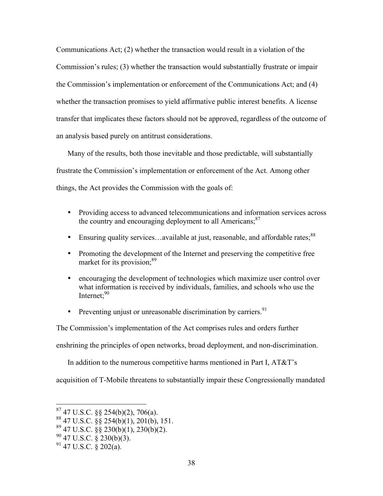Communications Act; (2) whether the transaction would result in a violation of the Commission's rules; (3) whether the transaction would substantially frustrate or impair the Commission's implementation or enforcement of the Communications Act; and (4) whether the transaction promises to yield affirmative public interest benefits. A license transfer that implicates these factors should not be approved, regardless of the outcome of an analysis based purely on antitrust considerations.

Many of the results, both those inevitable and those predictable, will substantially frustrate the Commission's implementation or enforcement of the Act. Among other things, the Act provides the Commission with the goals of:

- Providing access to advanced telecommunications and information services across the country and encouraging deployment to all Americans; $^{87}$
- Ensuring quality services...available at just, reasonable, and affordable rates:<sup>88</sup>
- Promoting the development of the Internet and preserving the competitive free market for its provision;<sup>89</sup>
- encouraging the development of technologies which maximize user control over what information is received by individuals, families, and schools who use the Internet: $90$
- Preventing unjust or unreasonable discrimination by carriers.  $91$

The Commission's implementation of the Act comprises rules and orders further

enshrining the principles of open networks, broad deployment, and non-discrimination.

In addition to the numerous competitive harms mentioned in Part I, AT&T's

acquisition of T-Mobile threatens to substantially impair these Congressionally mandated

- $8847$  U.S.C.  $\S$ § 254(b)(1), 201(b), 151.
- $89$  47 U.S.C.  $\frac{88}{9}$  230(b)(1), 230(b)(2).
- $90$  47 U.S.C. § 230(b)(3).
- $91$  47 U.S.C. § 202(a).

 $87$  47 U.S.C. §§ 254(b)(2), 706(a).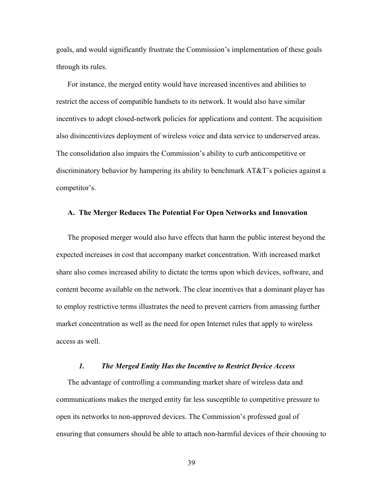goals, and would significantly frustrate the Commission's implementation of these goals through its rules.

For instance, the merged entity would have increased incentives and abilities to restrict the access of compatible handsets to its network. It would also have similar incentives to adopt closed-network policies for applications and content. The acquisition also disincentivizes deployment of wireless voice and data service to underserved areas. The consolidation also impairs the Commission's ability to curb anticompetitive or discriminatory behavior by hampering its ability to benchmark AT&T's policies against a competitor's.

#### **A. The Merger Reduces The Potential For Open Networks and Innovation**

The proposed merger would also have effects that harm the public interest beyond the expected increases in cost that accompany market concentration. With increased market share also comes increased ability to dictate the terms upon which devices, software, and content become available on the network. The clear incentives that a dominant player has to employ restrictive terms illustrates the need to prevent carriers from amassing further market concentration as well as the need for open Internet rules that apply to wireless access as well.

#### *1. The Merged Entity Has the Incentive to Restrict Device Access*

The advantage of controlling a commanding market share of wireless data and communications makes the merged entity far less susceptible to competitive pressure to open its networks to non-approved devices. The Commission's professed goal of ensuring that consumers should be able to attach non-harmful devices of their choosing to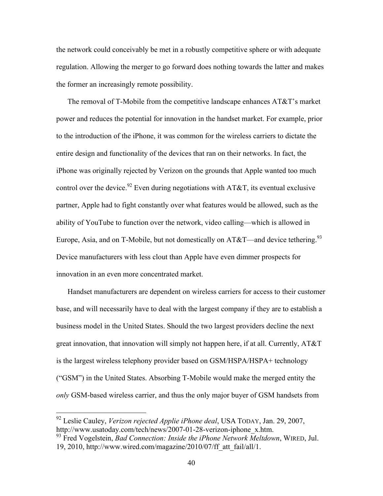the network could conceivably be met in a robustly competitive sphere or with adequate regulation. Allowing the merger to go forward does nothing towards the latter and makes the former an increasingly remote possibility.

The removal of T-Mobile from the competitive landscape enhances AT&T's market power and reduces the potential for innovation in the handset market. For example, prior to the introduction of the iPhone, it was common for the wireless carriers to dictate the entire design and functionality of the devices that ran on their networks. In fact, the iPhone was originally rejected by Verizon on the grounds that Apple wanted too much control over the device.<sup>92</sup> Even during negotiations with AT&T, its eventual exclusive partner, Apple had to fight constantly over what features would be allowed, such as the ability of YouTube to function over the network, video calling—which is allowed in Europe, Asia, and on T-Mobile, but not domestically on  $AT&T$ —and device tethering.<sup>93</sup> Device manufacturers with less clout than Apple have even dimmer prospects for innovation in an even more concentrated market.

Handset manufacturers are dependent on wireless carriers for access to their customer base, and will necessarily have to deal with the largest company if they are to establish a business model in the United States. Should the two largest providers decline the next great innovation, that innovation will simply not happen here, if at all. Currently, AT&T is the largest wireless telephony provider based on GSM/HSPA/HSPA+ technology ("GSM") in the United States. Absorbing T-Mobile would make the merged entity the *only* GSM-based wireless carrier, and thus the only major buyer of GSM handsets from

 <sup>92</sup> Leslie Cauley, *Verizon rejected Applie iPhone deal*, USA TODAY, Jan. 29, 2007, http://www.usatoday.com/tech/news/2007-01-28-verizon-iphone\_x.htm.

<sup>93</sup> Fred Vogelstein, *Bad Connection: Inside the iPhone Network Meltdown*, WIRED, Jul. 19, 2010, http://www.wired.com/magazine/2010/07/ff\_att\_fail/all/1.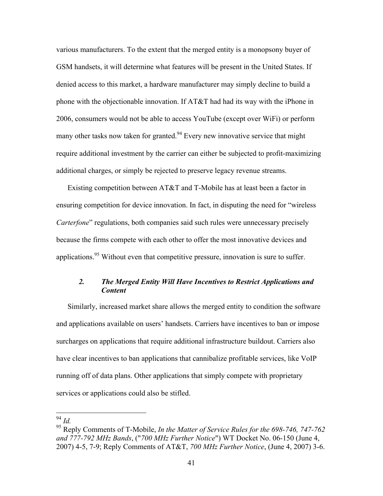various manufacturers. To the extent that the merged entity is a monopsony buyer of GSM handsets, it will determine what features will be present in the United States. If denied access to this market, a hardware manufacturer may simply decline to build a phone with the objectionable innovation. If AT&T had had its way with the iPhone in 2006, consumers would not be able to access YouTube (except over WiFi) or perform many other tasks now taken for granted.<sup>94</sup> Every new innovative service that might require additional investment by the carrier can either be subjected to profit-maximizing additional charges, or simply be rejected to preserve legacy revenue streams.

Existing competition between AT&T and T-Mobile has at least been a factor in ensuring competition for device innovation. In fact, in disputing the need for "wireless *Carterfone*" regulations, both companies said such rules were unnecessary precisely because the firms compete with each other to offer the most innovative devices and applications.<sup>95</sup> Without even that competitive pressure, innovation is sure to suffer.

# *2. The Merged Entity Will Have Incentives to Restrict Applications and Content*

Similarly, increased market share allows the merged entity to condition the software and applications available on users' handsets. Carriers have incentives to ban or impose surcharges on applications that require additional infrastructure buildout. Carriers also have clear incentives to ban applications that cannibalize profitable services, like VoIP running off of data plans. Other applications that simply compete with proprietary services or applications could also be stifled.

 <sup>94</sup> *Id.*

<sup>95</sup> Reply Comments of T-Mobile, *In the Matter of Service Rules for the 698-746, 747-762 and 777-792 MHz Bands*, ("*700 MHz Further Notice*") WT Docket No. 06-150 (June 4, 2007) 4-5, 7-9; Reply Comments of AT&T, *700 MHz Further Notice*, (June 4, 2007) 3-6.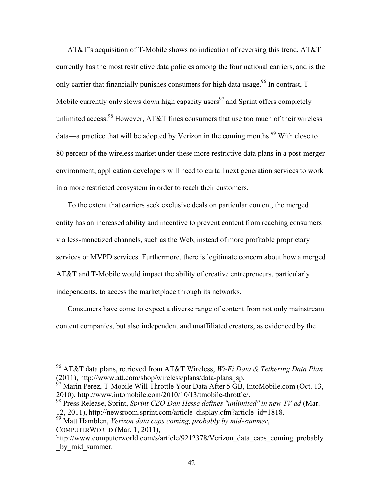AT&T's acquisition of T-Mobile shows no indication of reversing this trend. AT&T currently has the most restrictive data policies among the four national carriers, and is the only carrier that financially punishes consumers for high data usage.<sup>96</sup> In contrast,  $T$ -Mobile currently only slows down high capacity users<sup>97</sup> and Sprint offers completely unlimited access.<sup>98</sup> However, AT&T fines consumers that use too much of their wireless data—a practice that will be adopted by Verizon in the coming months.<sup>99</sup> With close to 80 percent of the wireless market under these more restrictive data plans in a post-merger environment, application developers will need to curtail next generation services to work in a more restricted ecosystem in order to reach their customers.

To the extent that carriers seek exclusive deals on particular content, the merged entity has an increased ability and incentive to prevent content from reaching consumers via less-monetized channels, such as the Web, instead of more profitable proprietary services or MVPD services. Furthermore, there is legitimate concern about how a merged AT&T and T-Mobile would impact the ability of creative entrepreneurs, particularly independents, to access the marketplace through its networks.

Consumers have come to expect a diverse range of content from not only mainstream content companies, but also independent and unaffiliated creators, as evidenced by the

 <sup>96</sup> AT&T data plans, retrieved from AT&T Wireless, *Wi-Fi Data & Tethering Data Plan* (2011), http://www.att.com/shop/wireless/plans/data-plans.jsp.

 $^{97}$  Marin Perez, T-Mobile Will Throttle Your Data After 5 GB, IntoMobile.com (Oct. 13, 2010), http://www.intomobile.com/2010/10/13/tmobile-throttle/.

<sup>98</sup> Press Release, Sprint, *Sprint CEO Dan Hesse defines "unlimited" in new TV ad* (Mar. 12, 2011), http://newsroom.sprint.com/article\_display.cfm?article\_id=1818.

<sup>99</sup> Matt Hamblen, *Verizon data caps coming, probably by mid-summer*, COMPUTERWORLD (Mar. 1, 2011),

http://www.computerworld.com/s/article/9212378/Verizon\_data\_caps\_coming\_probably by mid summer.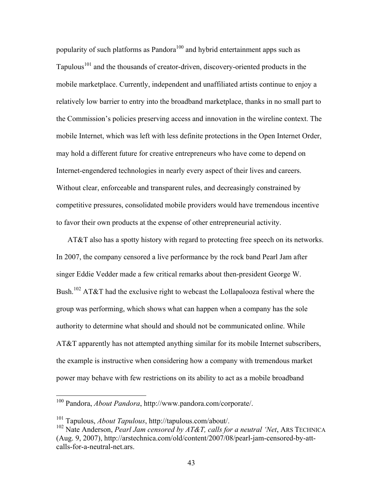popularity of such platforms as Pandora<sup>100</sup> and hybrid entertainment apps such as Tapulous<sup>101</sup> and the thousands of creator-driven, discovery-oriented products in the mobile marketplace. Currently, independent and unaffiliated artists continue to enjoy a relatively low barrier to entry into the broadband marketplace, thanks in no small part to the Commission's policies preserving access and innovation in the wireline context. The mobile Internet, which was left with less definite protections in the Open Internet Order, may hold a different future for creative entrepreneurs who have come to depend on Internet-engendered technologies in nearly every aspect of their lives and careers. Without clear, enforceable and transparent rules, and decreasingly constrained by competitive pressures, consolidated mobile providers would have tremendous incentive to favor their own products at the expense of other entrepreneurial activity.

AT&T also has a spotty history with regard to protecting free speech on its networks. In 2007, the company censored a live performance by the rock band Pearl Jam after singer Eddie Vedder made a few critical remarks about then-president George W. Bush.<sup>102</sup> AT&T had the exclusive right to webcast the Lollapalooza festival where the group was performing, which shows what can happen when a company has the sole authority to determine what should and should not be communicated online. While AT&T apparently has not attempted anything similar for its mobile Internet subscribers, the example is instructive when considering how a company with tremendous market power may behave with few restrictions on its ability to act as a mobile broadband

 <sup>100</sup> Pandora, *About Pandora*, http://www.pandora.com/corporate/.

<sup>101</sup> Tapulous, *About Tapulous*, http://tapulous.com/about/.

<sup>102</sup> Nate Anderson, *Pearl Jam censored by AT&T, calls for a neutral 'Net*, ARS TECHNICA (Aug. 9, 2007), http://arstechnica.com/old/content/2007/08/pearl-jam-censored-by-attcalls-for-a-neutral-net ars.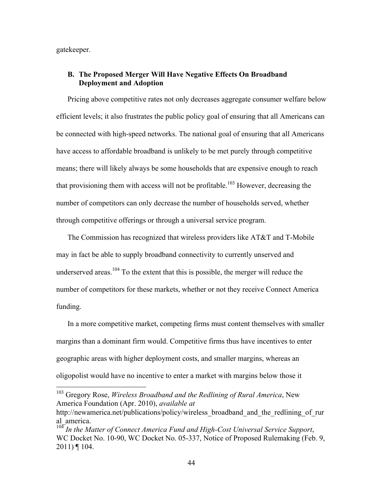gatekeeper.

# **B. The Proposed Merger Will Have Negative Effects On Broadband Deployment and Adoption**

Pricing above competitive rates not only decreases aggregate consumer welfare below efficient levels; it also frustrates the public policy goal of ensuring that all Americans can be connected with high-speed networks. The national goal of ensuring that all Americans have access to affordable broadband is unlikely to be met purely through competitive means; there will likely always be some households that are expensive enough to reach that provisioning them with access will not be profitable.<sup>103</sup> However, decreasing the number of competitors can only decrease the number of households served, whether through competitive offerings or through a universal service program.

The Commission has recognized that wireless providers like AT&T and T-Mobile may in fact be able to supply broadband connectivity to currently unserved and underserved areas.<sup>104</sup> To the extent that this is possible, the merger will reduce the number of competitors for these markets, whether or not they receive Connect America funding.

In a more competitive market, competing firms must content themselves with smaller margins than a dominant firm would. Competitive firms thus have incentives to enter geographic areas with higher deployment costs, and smaller margins, whereas an oligopolist would have no incentive to enter a market with margins below those it

 <sup>103</sup> Gregory Rose, *Wireless Broadband and the Redlining of Rural America*, New America Foundation (Apr. 2010), *available at*

http://newamerica.net/publications/policy/wireless\_broadband\_and\_the\_redlining\_of\_rur al america.

<sup>&</sup>lt;sup>104</sup> In the Matter of Connect America Fund and High-Cost Universal Service Support, WC Docket No. 10-90, WC Docket No. 05-337, Notice of Proposed Rulemaking (Feb. 9,  $2011$ ) ¶ 104.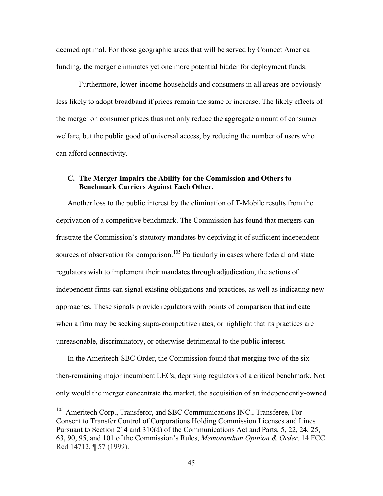deemed optimal. For those geographic areas that will be served by Connect America funding, the merger eliminates yet one more potential bidder for deployment funds.

Furthermore, lower-income households and consumers in all areas are obviously less likely to adopt broadband if prices remain the same or increase. The likely effects of the merger on consumer prices thus not only reduce the aggregate amount of consumer welfare, but the public good of universal access, by reducing the number of users who can afford connectivity.

# **C. The Merger Impairs the Ability for the Commission and Others to Benchmark Carriers Against Each Other.**

Another loss to the public interest by the elimination of T-Mobile results from the deprivation of a competitive benchmark. The Commission has found that mergers can frustrate the Commission's statutory mandates by depriving it of sufficient independent sources of observation for comparison.<sup>105</sup> Particularly in cases where federal and state regulators wish to implement their mandates through adjudication, the actions of independent firms can signal existing obligations and practices, as well as indicating new approaches. These signals provide regulators with points of comparison that indicate when a firm may be seeking supra-competitive rates, or highlight that its practices are unreasonable, discriminatory, or otherwise detrimental to the public interest.

In the Ameritech-SBC Order, the Commission found that merging two of the six then-remaining major incumbent LECs, depriving regulators of a critical benchmark. Not only would the merger concentrate the market, the acquisition of an independently-owned

<sup>&</sup>lt;sup>105</sup> Ameritech Corp., Transferor, and SBC Communications INC., Transferee, For Consent to Transfer Control of Corporations Holding Commission Licenses and Lines Pursuant to Section 214 and 310(d) of the Communications Act and Parts, 5, 22, 24, 25, 63, 90, 95, and 101 of the Commission's Rules, *Memorandum Opinion & Order,* 14 FCC Rcd 14712, ¶ 57 (1999).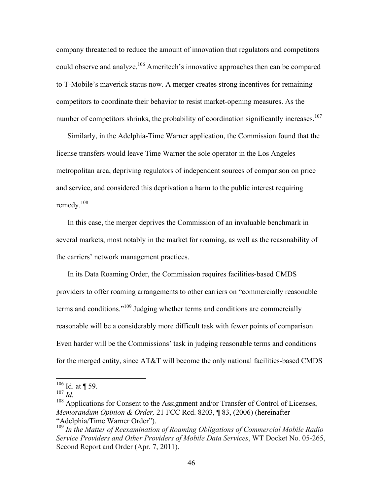company threatened to reduce the amount of innovation that regulators and competitors could observe and analyze.<sup>106</sup> Ameritech's innovative approaches then can be compared to T-Mobile's maverick status now. A merger creates strong incentives for remaining competitors to coordinate their behavior to resist market-opening measures. As the number of competitors shrinks, the probability of coordination significantly increases.<sup>107</sup>

Similarly, in the Adelphia-Time Warner application, the Commission found that the license transfers would leave Time Warner the sole operator in the Los Angeles metropolitan area, depriving regulators of independent sources of comparison on price and service, and considered this deprivation a harm to the public interest requiring remedy.<sup>108</sup>

In this case, the merger deprives the Commission of an invaluable benchmark in several markets, most notably in the market for roaming, as well as the reasonability of the carriers' network management practices.

In its Data Roaming Order, the Commission requires facilities-based CMDS providers to offer roaming arrangements to other carriers on "commercially reasonable terms and conditions."<sup>109</sup> Judging whether terms and conditions are commercially reasonable will be a considerably more difficult task with fewer points of comparison. Even harder will be the Commissions' task in judging reasonable terms and conditions for the merged entity, since AT&T will become the only national facilities-based CMDS

 $106$  Id. at ¶ 59.

 $107 \, \mu$ .

<sup>&</sup>lt;sup>108</sup> Applications for Consent to the Assignment and/or Transfer of Control of Licenses, *Memorandum Opinion & Order,* 21 FCC Rcd. 8203, ¶ 83, (2006) (hereinafter "Adelphia/Time Warner Order").

<sup>109</sup> *In the Matter of Reexamination of Roaming Obligations of Commercial Mobile Radio Service Providers and Other Providers of Mobile Data Services*, WT Docket No. 05-265, Second Report and Order (Apr. 7, 2011).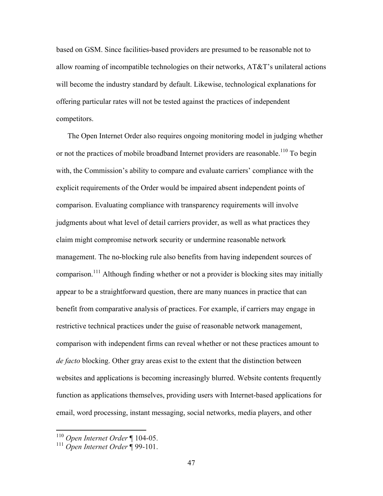based on GSM. Since facilities-based providers are presumed to be reasonable not to allow roaming of incompatible technologies on their networks, AT&T's unilateral actions will become the industry standard by default. Likewise, technological explanations for offering particular rates will not be tested against the practices of independent competitors.

The Open Internet Order also requires ongoing monitoring model in judging whether or not the practices of mobile broadband Internet providers are reasonable.<sup>110</sup> To begin with, the Commission's ability to compare and evaluate carriers' compliance with the explicit requirements of the Order would be impaired absent independent points of comparison. Evaluating compliance with transparency requirements will involve judgments about what level of detail carriers provider, as well as what practices they claim might compromise network security or undermine reasonable network management. The no-blocking rule also benefits from having independent sources of comparison.<sup>111</sup> Although finding whether or not a provider is blocking sites may initially appear to be a straightforward question, there are many nuances in practice that can benefit from comparative analysis of practices. For example, if carriers may engage in restrictive technical practices under the guise of reasonable network management, comparison with independent firms can reveal whether or not these practices amount to *de facto* blocking. Other gray areas exist to the extent that the distinction between websites and applications is becoming increasingly blurred. Website contents frequently function as applications themselves, providing users with Internet-based applications for email, word processing, instant messaging, social networks, media players, and other

 <sup>110</sup> *Open Internet Order* ¶ 104-05.

<sup>111</sup> *Open Internet Order* ¶ 99-101.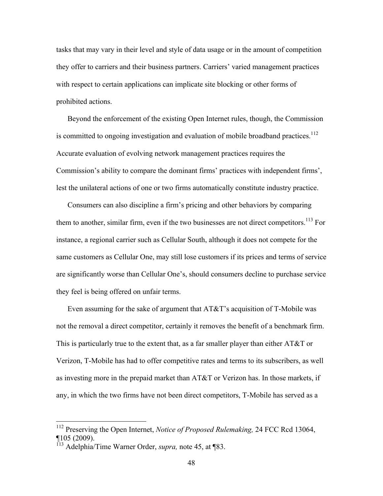tasks that may vary in their level and style of data usage or in the amount of competition they offer to carriers and their business partners. Carriers' varied management practices with respect to certain applications can implicate site blocking or other forms of prohibited actions.

Beyond the enforcement of the existing Open Internet rules, though, the Commission is committed to ongoing investigation and evaluation of mobile broadband practices.<sup>112</sup> Accurate evaluation of evolving network management practices requires the Commission's ability to compare the dominant firms' practices with independent firms', lest the unilateral actions of one or two firms automatically constitute industry practice.

Consumers can also discipline a firm's pricing and other behaviors by comparing them to another, similar firm, even if the two businesses are not direct competitors.<sup>113</sup> For instance, a regional carrier such as Cellular South, although it does not compete for the same customers as Cellular One, may still lose customers if its prices and terms of service are significantly worse than Cellular One's, should consumers decline to purchase service they feel is being offered on unfair terms.

Even assuming for the sake of argument that AT&T's acquisition of T-Mobile was not the removal a direct competitor, certainly it removes the benefit of a benchmark firm. This is particularly true to the extent that, as a far smaller player than either AT&T or Verizon, T-Mobile has had to offer competitive rates and terms to its subscribers, as well as investing more in the prepaid market than AT&T or Verizon has. In those markets, if any, in which the two firms have not been direct competitors, T-Mobile has served as a

 <sup>112</sup> Preserving the Open Internet, *Notice of Proposed Rulemaking,* 24 FCC Rcd 13064, ¶105 (2009).

<sup>113</sup> Adelphia/Time Warner Order, *supra,* note 45, at ¶83.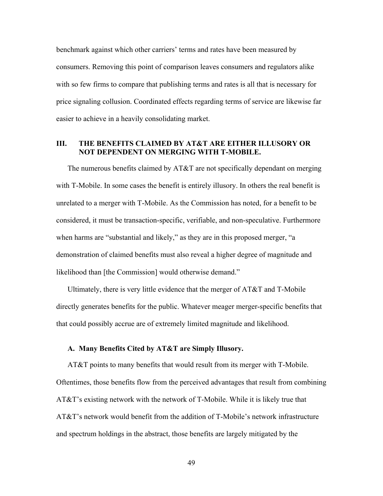benchmark against which other carriers' terms and rates have been measured by consumers. Removing this point of comparison leaves consumers and regulators alike with so few firms to compare that publishing terms and rates is all that is necessary for price signaling collusion. Coordinated effects regarding terms of service are likewise far easier to achieve in a heavily consolidating market.

# **III. THE BENEFITS CLAIMED BY AT&T ARE EITHER ILLUSORY OR NOT DEPENDENT ON MERGING WITH T-MOBILE.**

The numerous benefits claimed by AT&T are not specifically dependant on merging with T-Mobile. In some cases the benefit is entirely illusory. In others the real benefit is unrelated to a merger with T-Mobile. As the Commission has noted, for a benefit to be considered, it must be transaction-specific, verifiable, and non-speculative. Furthermore when harms are "substantial and likely," as they are in this proposed merger, "a demonstration of claimed benefits must also reveal a higher degree of magnitude and likelihood than [the Commission] would otherwise demand."

Ultimately, there is very little evidence that the merger of AT&T and T-Mobile directly generates benefits for the public. Whatever meager merger-specific benefits that that could possibly accrue are of extremely limited magnitude and likelihood.

# **A. Many Benefits Cited by AT&T are Simply Illusory.**

AT&T points to many benefits that would result from its merger with T-Mobile. Oftentimes, those benefits flow from the perceived advantages that result from combining AT&T's existing network with the network of T-Mobile. While it is likely true that AT&T's network would benefit from the addition of T-Mobile's network infrastructure and spectrum holdings in the abstract, those benefits are largely mitigated by the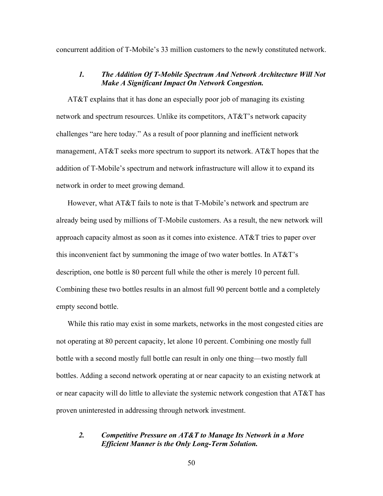concurrent addition of T-Mobile's 33 million customers to the newly constituted network.

### *1. The Addition Of T-Mobile Spectrum And Network Architecture Will Not Make A Significant Impact On Network Congestion.*

AT&T explains that it has done an especially poor job of managing its existing network and spectrum resources. Unlike its competitors, AT&T's network capacity challenges "are here today." As a result of poor planning and inefficient network management, AT&T seeks more spectrum to support its network. AT&T hopes that the addition of T-Mobile's spectrum and network infrastructure will allow it to expand its network in order to meet growing demand.

However, what AT&T fails to note is that T-Mobile's network and spectrum are already being used by millions of T-Mobile customers. As a result, the new network will approach capacity almost as soon as it comes into existence. AT&T tries to paper over this inconvenient fact by summoning the image of two water bottles. In AT&T's description, one bottle is 80 percent full while the other is merely 10 percent full. Combining these two bottles results in an almost full 90 percent bottle and a completely empty second bottle.

While this ratio may exist in some markets, networks in the most congested cities are not operating at 80 percent capacity, let alone 10 percent. Combining one mostly full bottle with a second mostly full bottle can result in only one thing—two mostly full bottles. Adding a second network operating at or near capacity to an existing network at or near capacity will do little to alleviate the systemic network congestion that  $AT&T$  has proven uninterested in addressing through network investment.

# *2. Competitive Pressure on AT&T to Manage Its Network in a More Efficient Manner is the Only Long-Term Solution.*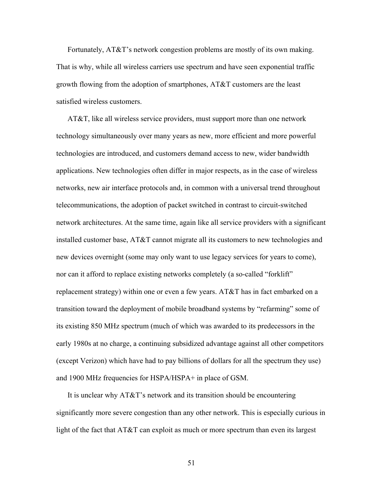Fortunately, AT&T's network congestion problems are mostly of its own making. That is why, while all wireless carriers use spectrum and have seen exponential traffic growth flowing from the adoption of smartphones, AT&T customers are the least satisfied wireless customers.

AT&T, like all wireless service providers, must support more than one network technology simultaneously over many years as new, more efficient and more powerful technologies are introduced, and customers demand access to new, wider bandwidth applications. New technologies often differ in major respects, as in the case of wireless networks, new air interface protocols and, in common with a universal trend throughout telecommunications, the adoption of packet switched in contrast to circuit-switched network architectures. At the same time, again like all service providers with a significant installed customer base, AT&T cannot migrate all its customers to new technologies and new devices overnight (some may only want to use legacy services for years to come), nor can it afford to replace existing networks completely (a so-called "forklift" replacement strategy) within one or even a few years. AT&T has in fact embarked on a transition toward the deployment of mobile broadband systems by "refarming" some of its existing 850 MHz spectrum (much of which was awarded to its predecessors in the early 1980s at no charge, a continuing subsidized advantage against all other competitors (except Verizon) which have had to pay billions of dollars for all the spectrum they use) and 1900 MHz frequencies for HSPA/HSPA+ in place of GSM.

It is unclear why AT&T's network and its transition should be encountering significantly more severe congestion than any other network. This is especially curious in light of the fact that AT&T can exploit as much or more spectrum than even its largest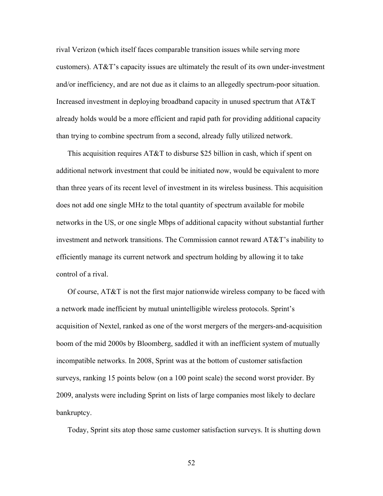rival Verizon (which itself faces comparable transition issues while serving more customers). AT&T's capacity issues are ultimately the result of its own under-investment and/or inefficiency, and are not due as it claims to an allegedly spectrum-poor situation. Increased investment in deploying broadband capacity in unused spectrum that AT&T already holds would be a more efficient and rapid path for providing additional capacity than trying to combine spectrum from a second, already fully utilized network.

This acquisition requires AT&T to disburse \$25 billion in cash, which if spent on additional network investment that could be initiated now, would be equivalent to more than three years of its recent level of investment in its wireless business. This acquisition does not add one single MHz to the total quantity of spectrum available for mobile networks in the US, or one single Mbps of additional capacity without substantial further investment and network transitions. The Commission cannot reward AT&T's inability to efficiently manage its current network and spectrum holding by allowing it to take control of a rival.

Of course, AT&T is not the first major nationwide wireless company to be faced with a network made inefficient by mutual unintelligible wireless protocols. Sprint's acquisition of Nextel, ranked as one of the worst mergers of the mergers-and-acquisition boom of the mid 2000s by Bloomberg, saddled it with an inefficient system of mutually incompatible networks. In 2008, Sprint was at the bottom of customer satisfaction surveys, ranking 15 points below (on a 100 point scale) the second worst provider. By 2009, analysts were including Sprint on lists of large companies most likely to declare bankruptcy.

Today, Sprint sits atop those same customer satisfaction surveys. It is shutting down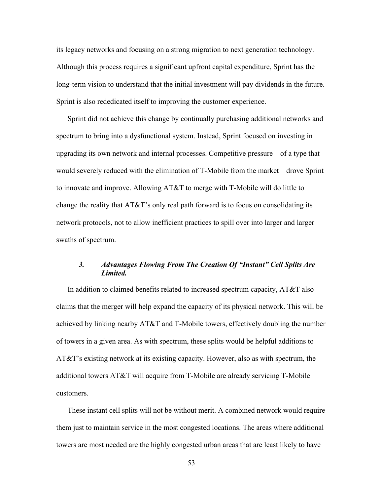its legacy networks and focusing on a strong migration to next generation technology. Although this process requires a significant upfront capital expenditure, Sprint has the long-term vision to understand that the initial investment will pay dividends in the future. Sprint is also rededicated itself to improving the customer experience.

Sprint did not achieve this change by continually purchasing additional networks and spectrum to bring into a dysfunctional system. Instead, Sprint focused on investing in upgrading its own network and internal processes. Competitive pressure—of a type that would severely reduced with the elimination of T-Mobile from the market—drove Sprint to innovate and improve. Allowing AT&T to merge with T-Mobile will do little to change the reality that AT&T's only real path forward is to focus on consolidating its network protocols, not to allow inefficient practices to spill over into larger and larger swaths of spectrum.

# *3. Advantages Flowing From The Creation Of "Instant" Cell Splits Are Limited.*

In addition to claimed benefits related to increased spectrum capacity, AT&T also claims that the merger will help expand the capacity of its physical network. This will be achieved by linking nearby AT&T and T-Mobile towers, effectively doubling the number of towers in a given area. As with spectrum, these splits would be helpful additions to AT&T's existing network at its existing capacity. However, also as with spectrum, the additional towers AT&T will acquire from T-Mobile are already servicing T-Mobile customers.

These instant cell splits will not be without merit. A combined network would require them just to maintain service in the most congested locations. The areas where additional towers are most needed are the highly congested urban areas that are least likely to have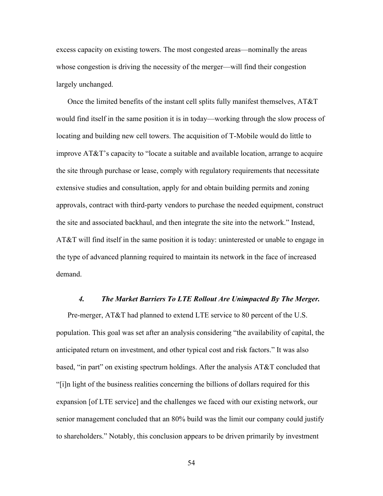excess capacity on existing towers. The most congested areas—nominally the areas whose congestion is driving the necessity of the merger—will find their congestion largely unchanged.

Once the limited benefits of the instant cell splits fully manifest themselves, AT&T would find itself in the same position it is in today—working through the slow process of locating and building new cell towers. The acquisition of T-Mobile would do little to improve AT&T's capacity to "locate a suitable and available location, arrange to acquire the site through purchase or lease, comply with regulatory requirements that necessitate extensive studies and consultation, apply for and obtain building permits and zoning approvals, contract with third-party vendors to purchase the needed equipment, construct the site and associated backhaul, and then integrate the site into the network." Instead, AT&T will find itself in the same position it is today: uninterested or unable to engage in the type of advanced planning required to maintain its network in the face of increased demand.

### *4. The Market Barriers To LTE Rollout Are Unimpacted By The Merger.*

Pre-merger, AT&T had planned to extend LTE service to 80 percent of the U.S. population. This goal was set after an analysis considering "the availability of capital, the anticipated return on investment, and other typical cost and risk factors." It was also based, "in part" on existing spectrum holdings. After the analysis AT&T concluded that "[i]n light of the business realities concerning the billions of dollars required for this expansion [of LTE service] and the challenges we faced with our existing network, our senior management concluded that an 80% build was the limit our company could justify to shareholders." Notably, this conclusion appears to be driven primarily by investment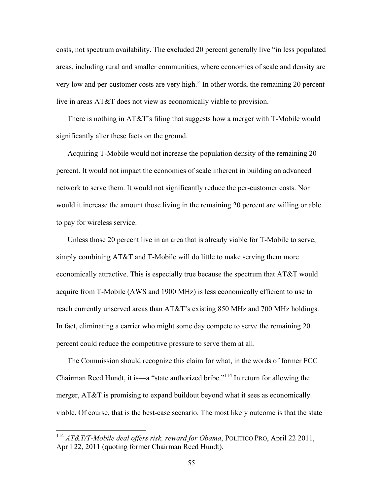costs, not spectrum availability. The excluded 20 percent generally live "in less populated areas, including rural and smaller communities, where economies of scale and density are very low and per-customer costs are very high." In other words, the remaining 20 percent live in areas AT&T does not view as economically viable to provision.

There is nothing in AT&T's filing that suggests how a merger with T-Mobile would significantly alter these facts on the ground.

Acquiring T-Mobile would not increase the population density of the remaining 20 percent. It would not impact the economies of scale inherent in building an advanced network to serve them. It would not significantly reduce the per-customer costs. Nor would it increase the amount those living in the remaining 20 percent are willing or able to pay for wireless service.

Unless those 20 percent live in an area that is already viable for T-Mobile to serve, simply combining AT&T and T-Mobile will do little to make serving them more economically attractive. This is especially true because the spectrum that AT&T would acquire from T-Mobile (AWS and 1900 MHz) is less economically efficient to use to reach currently unserved areas than AT&T's existing 850 MHz and 700 MHz holdings. In fact, eliminating a carrier who might some day compete to serve the remaining 20 percent could reduce the competitive pressure to serve them at all.

The Commission should recognize this claim for what, in the words of former FCC Chairman Reed Hundt, it is—a "state authorized bribe."114 In return for allowing the merger, AT&T is promising to expand buildout beyond what it sees as economically viable. Of course, that is the best-case scenario. The most likely outcome is that the state

 <sup>114</sup> *AT&T/T-Mobile deal offers risk, reward for Obama*, POLITICO PRO, April 22 2011, April 22, 2011 (quoting former Chairman Reed Hundt).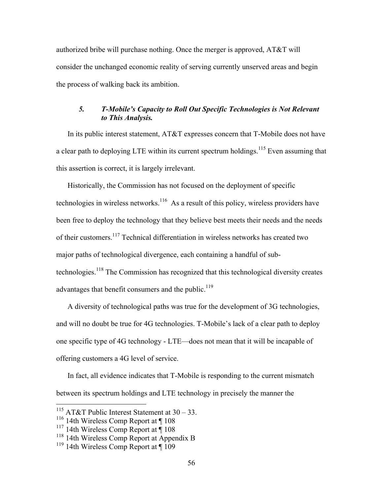authorized bribe will purchase nothing. Once the merger is approved, AT&T will consider the unchanged economic reality of serving currently unserved areas and begin the process of walking back its ambition.

# *5. T-Mobile's Capacity to Roll Out Specific Technologies is Not Relevant to This Analysis.*

In its public interest statement, AT&T expresses concern that T-Mobile does not have a clear path to deploying LTE within its current spectrum holdings.<sup>115</sup> Even assuming that this assertion is correct, it is largely irrelevant.

Historically, the Commission has not focused on the deployment of specific technologies in wireless networks.<sup>116</sup> As a result of this policy, wireless providers have been free to deploy the technology that they believe best meets their needs and the needs of their customers.<sup>117</sup> Technical differentiation in wireless networks has created two major paths of technological divergence, each containing a handful of subtechnologies.<sup>118</sup> The Commission has recognized that this technological diversity creates advantages that benefit consumers and the public.<sup>119</sup>

A diversity of technological paths was true for the development of 3G technologies, and will no doubt be true for 4G technologies. T-Mobile's lack of a clear path to deploy one specific type of 4G technology - LTE—does not mean that it will be incapable of offering customers a 4G level of service.

In fact, all evidence indicates that T-Mobile is responding to the current mismatch between its spectrum holdings and LTE technology in precisely the manner the

<sup>&</sup>lt;sup>115</sup> AT&T Public Interest Statement at  $30 - 33$ .

<sup>&</sup>lt;sup>116</sup> 14th Wireless Comp Report at ¶ 108

 $117$  14th Wireless Comp Report at  $\P$  108

 $118$  14th Wireless Comp Report at Appendix B

 $119$  14th Wireless Comp Report at  $\P$  109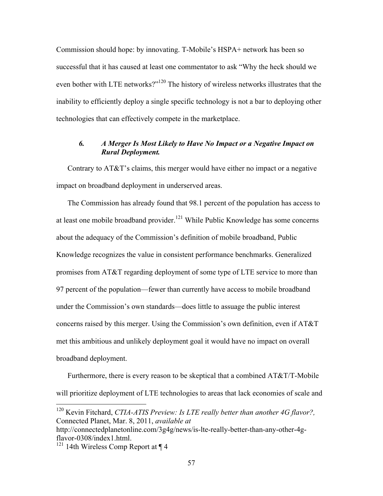Commission should hope: by innovating. T-Mobile's HSPA+ network has been so successful that it has caused at least one commentator to ask "Why the heck should we even bother with LTE networks?"<sup>120</sup> The history of wireless networks illustrates that the inability to efficiently deploy a single specific technology is not a bar to deploying other technologies that can effectively compete in the marketplace.

# *6. A Merger Is Most Likely to Have No Impact or a Negative Impact on Rural Deployment.*

Contrary to AT&T's claims, this merger would have either no impact or a negative impact on broadband deployment in underserved areas.

The Commission has already found that 98.1 percent of the population has access to at least one mobile broadband provider.<sup>121</sup> While Public Knowledge has some concerns about the adequacy of the Commission's definition of mobile broadband, Public Knowledge recognizes the value in consistent performance benchmarks. Generalized promises from AT&T regarding deployment of some type of LTE service to more than 97 percent of the population—fewer than currently have access to mobile broadband under the Commission's own standards—does little to assuage the public interest concerns raised by this merger. Using the Commission's own definition, even if AT&T met this ambitious and unlikely deployment goal it would have no impact on overall broadband deployment.

Furthermore, there is every reason to be skeptical that a combined AT&T/T-Mobile will prioritize deployment of LTE technologies to areas that lack economies of scale and

 <sup>120</sup> Kevin Fitchard, *CTIA-ATIS Preview: Is LTE really better than another 4G flavor?,* Connected Planet, Mar. 8, 2011, *available at* 

http://connectedplanetonline.com/3g4g/news/is-lte-really-better-than-any-other-4gflavor-0308/index1.html.

<sup>&</sup>lt;sup>121</sup> 14th Wireless Comp Report at  $\P$  4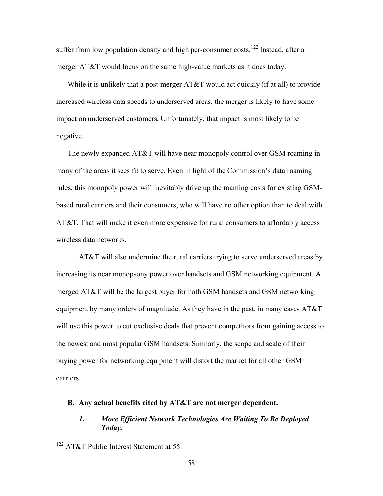suffer from low population density and high per-consumer costs.<sup>122</sup> Instead, after a merger AT&T would focus on the same high-value markets as it does today.

While it is unlikely that a post-merger AT&T would act quickly (if at all) to provide increased wireless data speeds to underserved areas, the merger is likely to have some impact on underserved customers. Unfortunately, that impact is most likely to be negative.

The newly expanded AT&T will have near monopoly control over GSM roaming in many of the areas it sees fit to serve. Even in light of the Commission's data roaming rules, this monopoly power will inevitably drive up the roaming costs for existing GSMbased rural carriers and their consumers, who will have no other option than to deal with AT&T. That will make it even more expensive for rural consumers to affordably access wireless data networks.

AT&T will also undermine the rural carriers trying to serve underserved areas by increasing its near monopsony power over handsets and GSM networking equipment. A merged AT&T will be the largest buyer for both GSM handsets and GSM networking equipment by many orders of magnitude. As they have in the past, in many cases AT&T will use this power to cut exclusive deals that prevent competitors from gaining access to the newest and most popular GSM handsets. Similarly, the scope and scale of their buying power for networking equipment will distort the market for all other GSM carriers.

# **B. Any actual benefits cited by AT&T are not merger dependent.**

# *1. More Efficient Network Technologies Are Waiting To Be Deployed Today.*

 <sup>122</sup> AT&T Public Interest Statement at 55.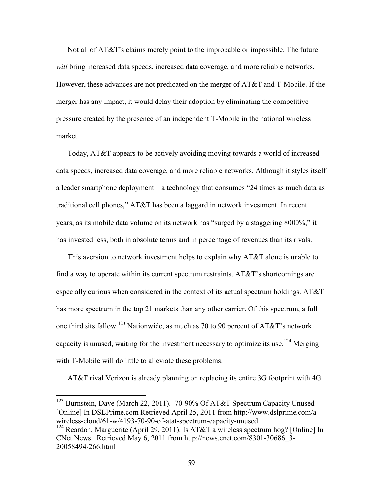Not all of AT&T's claims merely point to the improbable or impossible. The future *will* bring increased data speeds, increased data coverage, and more reliable networks. However, these advances are not predicated on the merger of AT&T and T-Mobile. If the merger has any impact, it would delay their adoption by eliminating the competitive pressure created by the presence of an independent T-Mobile in the national wireless market.

Today, AT&T appears to be actively avoiding moving towards a world of increased data speeds, increased data coverage, and more reliable networks. Although it styles itself a leader smartphone deployment—a technology that consumes "24 times as much data as traditional cell phones," AT&T has been a laggard in network investment. In recent years, as its mobile data volume on its network has "surged by a staggering 8000%," it has invested less, both in absolute terms and in percentage of revenues than its rivals.

This aversion to network investment helps to explain why AT&T alone is unable to find a way to operate within its current spectrum restraints. AT&T's shortcomings are especially curious when considered in the context of its actual spectrum holdings. AT&T has more spectrum in the top 21 markets than any other carrier. Of this spectrum, a full one third sits fallow.<sup>123</sup> Nationwide, as much as 70 to 90 percent of AT&T's network capacity is unused, waiting for the investment necessary to optimize its use.<sup>124</sup> Merging with T-Mobile will do little to alleviate these problems.

AT&T rival Verizon is already planning on replacing its entire 3G footprint with 4G

 <sup>123</sup> Burnstein, Dave (March 22, 2011). 70-90% Of AT&T Spectrum Capacity Unused [Online] In DSLPrime.com Retrieved April 25, 2011 from http://www.dslprime.com/awireless-cloud/61-w/4193-70-90-of-atat-spectrum-capacity-unused

<sup>&</sup>lt;sup>124</sup> Reardon, Marguerite (April 29, 2011). Is AT&T a wireless spectrum hog? [Online] In CNet News. Retrieved May 6, 2011 from http://news.cnet.com/8301-30686\_3- 20058494-266.html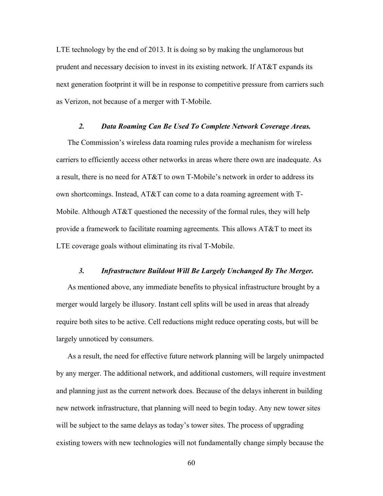LTE technology by the end of 2013. It is doing so by making the unglamorous but prudent and necessary decision to invest in its existing network. If AT&T expands its next generation footprint it will be in response to competitive pressure from carriers such as Verizon, not because of a merger with T-Mobile.

### *2. Data Roaming Can Be Used To Complete Network Coverage Areas.*

The Commission's wireless data roaming rules provide a mechanism for wireless carriers to efficiently access other networks in areas where there own are inadequate. As a result, there is no need for AT&T to own T-Mobile's network in order to address its own shortcomings. Instead, AT&T can come to a data roaming agreement with T-Mobile. Although AT&T questioned the necessity of the formal rules, they will help provide a framework to facilitate roaming agreements. This allows AT&T to meet its LTE coverage goals without eliminating its rival T-Mobile.

### *3. Infrastructure Buildout Will Be Largely Unchanged By The Merger.*

As mentioned above, any immediate benefits to physical infrastructure brought by a merger would largely be illusory. Instant cell splits will be used in areas that already require both sites to be active. Cell reductions might reduce operating costs, but will be largely unnoticed by consumers.

As a result, the need for effective future network planning will be largely unimpacted by any merger. The additional network, and additional customers, will require investment and planning just as the current network does. Because of the delays inherent in building new network infrastructure, that planning will need to begin today. Any new tower sites will be subject to the same delays as today's tower sites. The process of upgrading existing towers with new technologies will not fundamentally change simply because the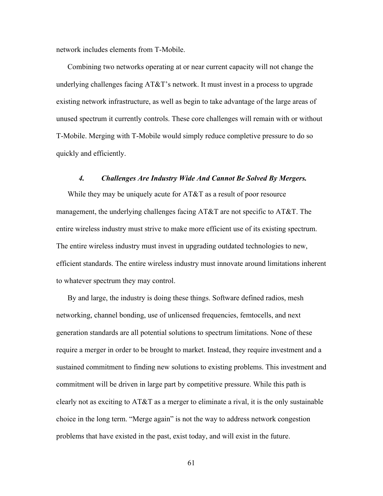network includes elements from T-Mobile.

Combining two networks operating at or near current capacity will not change the underlying challenges facing AT&T's network. It must invest in a process to upgrade existing network infrastructure, as well as begin to take advantage of the large areas of unused spectrum it currently controls. These core challenges will remain with or without T-Mobile. Merging with T-Mobile would simply reduce completive pressure to do so quickly and efficiently.

## *4. Challenges Are Industry Wide And Cannot Be Solved By Mergers.*

While they may be uniquely acute for AT&T as a result of poor resource management, the underlying challenges facing AT&T are not specific to AT&T. The entire wireless industry must strive to make more efficient use of its existing spectrum. The entire wireless industry must invest in upgrading outdated technologies to new, efficient standards. The entire wireless industry must innovate around limitations inherent to whatever spectrum they may control.

By and large, the industry is doing these things. Software defined radios, mesh networking, channel bonding, use of unlicensed frequencies, femtocells, and next generation standards are all potential solutions to spectrum limitations. None of these require a merger in order to be brought to market. Instead, they require investment and a sustained commitment to finding new solutions to existing problems. This investment and commitment will be driven in large part by competitive pressure. While this path is clearly not as exciting to AT&T as a merger to eliminate a rival, it is the only sustainable choice in the long term. "Merge again" is not the way to address network congestion problems that have existed in the past, exist today, and will exist in the future.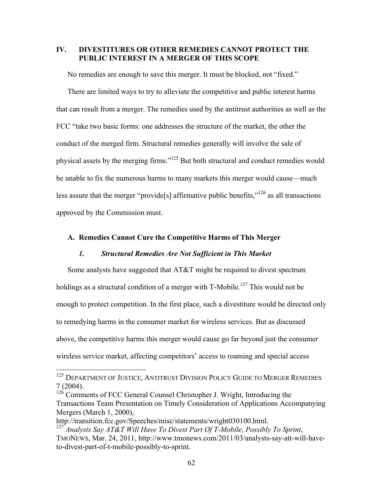# **IV. DIVESTITURES OR OTHER REMEDIES CANNOT PROTECT THE PUBLIC INTEREST IN A MERGER OF THIS SCOPE**

No remedies are enough to save this merger. It must be blocked, not "fixed."

There are limited ways to try to alleviate the competitive and public interest harms that can result from a merger. The remedies used by the antitrust authorities as well as the FCC "take two basic forms: one addresses the structure of the market, the other the conduct of the merged firm. Structural remedies generally will involve the sale of physical assets by the merging firms."125 But both structural and conduct remedies would be unable to fix the numerous harms to many markets this merger would cause—much less assure that the merger "provide<sup>[5]</sup> affirmative public benefits,"<sup>126</sup> as all transactions approved by the Commission must.

# **A. Remedies Cannot Cure the Competitive Harms of This Merger**

### *1. Structural Remedies Are Not Sufficient in This Market*

Some analysts have suggested that AT&T might be required to divest spectrum holdings as a structural condition of a merger with T-Mobile.<sup>127</sup> This would not be enough to protect competition. In the first place, such a divestiture would be directed only to remedying harms in the consumer market for wireless services. But as discussed above, the competitive harms this merger would cause go far beyond just the consumer wireless service market, affecting competitors' access to roaming and special access

<sup>&</sup>lt;sup>125</sup> DEPARTMENT OF JUSTICE, ANTITRUST DIVISION POLICY GUIDE TO MERGER REMEDIES 7 (2004).

 $126$  Comments of FCC General Counsel Christopher J. Wright, Introducing the Transactions Team Presentation on Timely Consideration of Applications Accompanying Mergers (March 1, 2000),

http://transition.fcc.gov/Speeches/misc/statements/wright030100.html.

<sup>127</sup> *Analysts Say AT&T Will Have To Divest Part Of T-Mobile, Possibly To Sprint*, TMONEWS, Mar. 24, 2011, http://www.tmonews.com/2011/03/analysts-say-att-will-haveto-divest-part-of-t-mobile-possibly-to-sprint.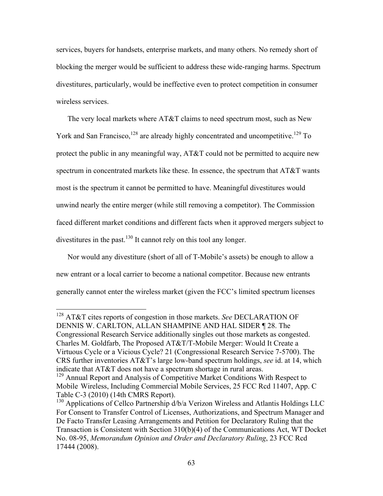services, buyers for handsets, enterprise markets, and many others. No remedy short of blocking the merger would be sufficient to address these wide-ranging harms. Spectrum divestitures, particularly, would be ineffective even to protect competition in consumer wireless services.

The very local markets where AT&T claims to need spectrum most, such as New York and San Francisco, $128$  are already highly concentrated and uncompetitive.<sup>129</sup> To protect the public in any meaningful way,  $AT&T$  could not be permitted to acquire new spectrum in concentrated markets like these. In essence, the spectrum that AT&T wants most is the spectrum it cannot be permitted to have. Meaningful divestitures would unwind nearly the entire merger (while still removing a competitor). The Commission faced different market conditions and different facts when it approved mergers subject to divestitures in the past.<sup>130</sup> It cannot rely on this tool any longer.

Nor would any divestiture (short of all of T-Mobile's assets) be enough to allow a new entrant or a local carrier to become a national competitor. Because new entrants generally cannot enter the wireless market (given the FCC's limited spectrum licenses

 <sup>128</sup> AT&T cites reports of congestion in those markets. *See* DECLARATION OF DENNIS W. CARLTON, ALLAN SHAMPINE AND HAL SIDER ¶ 28. The Congressional Research Service additionally singles out those markets as congested. Charles M. Goldfarb, The Proposed AT&T/T-Mobile Merger: Would It Create a Virtuous Cycle or a Vicious Cycle? 21 (Congressional Research Service 7-5700). The CRS further inventories AT&T's large low-band spectrum holdings, *see* id. at 14, which indicate that AT&T does not have a spectrum shortage in rural areas.

<sup>&</sup>lt;sup>129</sup> Annual Report and Analysis of Competitive Market Conditions With Respect to Mobile Wireless, Including Commercial Mobile Services, 25 FCC Rcd 11407, App. C Table C-3 (2010) (14th CMRS Report).

 $130$  Applications of Cellco Partnership  $\frac{d}{b/a}$  Verizon Wireless and Atlantis Holdings LLC For Consent to Transfer Control of Licenses, Authorizations, and Spectrum Manager and De Facto Transfer Leasing Arrangements and Petition for Declaratory Ruling that the Transaction is Consistent with Section 310(b)(4) of the Communications Act, WT Docket No. 08-95, *Memorandum Opinion and Order and Declaratory Ruling*, 23 FCC Rcd 17444 (2008).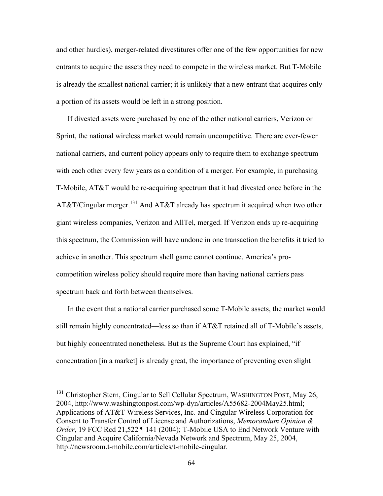and other hurdles), merger-related divestitures offer one of the few opportunities for new entrants to acquire the assets they need to compete in the wireless market. But T-Mobile is already the smallest national carrier; it is unlikely that a new entrant that acquires only a portion of its assets would be left in a strong position.

If divested assets were purchased by one of the other national carriers, Verizon or Sprint, the national wireless market would remain uncompetitive. There are ever-fewer national carriers, and current policy appears only to require them to exchange spectrum with each other every few years as a condition of a merger. For example, in purchasing T-Mobile, AT&T would be re-acquiring spectrum that it had divested once before in the AT&T/Cingular merger.<sup>131</sup> And AT&T already has spectrum it acquired when two other giant wireless companies, Verizon and AllTel, merged. If Verizon ends up re-acquiring this spectrum, the Commission will have undone in one transaction the benefits it tried to achieve in another. This spectrum shell game cannot continue. America's procompetition wireless policy should require more than having national carriers pass spectrum back and forth between themselves.

In the event that a national carrier purchased some T-Mobile assets, the market would still remain highly concentrated—less so than if AT&T retained all of T-Mobile's assets, but highly concentrated nonetheless. But as the Supreme Court has explained, "if concentration [in a market] is already great, the importance of preventing even slight

<sup>&</sup>lt;sup>131</sup> Christopher Stern, Cingular to Sell Cellular Spectrum, WASHINGTON POST, May 26, 2004, http://www.washingtonpost.com/wp-dyn/articles/A55682-2004May25.html; Applications of AT&T Wireless Services, Inc. and Cingular Wireless Corporation for Consent to Transfer Control of License and Authorizations, *Memorandum Opinion & Order*, 19 FCC Rcd 21,522 ¶ 141 (2004); T-Mobile USA to End Network Venture with Cingular and Acquire California/Nevada Network and Spectrum, May 25, 2004, http://newsroom.t-mobile.com/articles/t-mobile-cingular.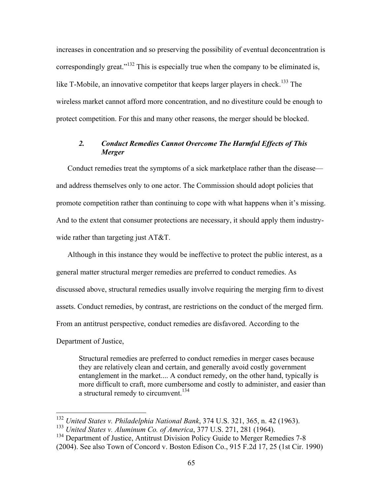increases in concentration and so preserving the possibility of eventual deconcentration is correspondingly great."<sup>132</sup> This is especially true when the company to be eliminated is, like T-Mobile, an innovative competitor that keeps larger players in check.<sup>133</sup> The wireless market cannot afford more concentration, and no divestiture could be enough to protect competition. For this and many other reasons, the merger should be blocked.

# *2. Conduct Remedies Cannot Overcome The Harmful Effects of This Merger*

Conduct remedies treat the symptoms of a sick marketplace rather than the disease and address themselves only to one actor. The Commission should adopt policies that promote competition rather than continuing to cope with what happens when it's missing. And to the extent that consumer protections are necessary, it should apply them industrywide rather than targeting just AT&T.

Although in this instance they would be ineffective to protect the public interest, as a general matter structural merger remedies are preferred to conduct remedies. As discussed above, structural remedies usually involve requiring the merging firm to divest assets. Conduct remedies, by contrast, are restrictions on the conduct of the merged firm. From an antitrust perspective, conduct remedies are disfavored. According to the Department of Justice,

Structural remedies are preferred to conduct remedies in merger cases because they are relatively clean and certain, and generally avoid costly government entanglement in the market.... A conduct remedy, on the other hand, typically is more difficult to craft, more cumbersome and costly to administer, and easier than a structural remedy to circumvent.<sup>134</sup>

 <sup>132</sup> *United States v. Philadelphia National Bank*, 374 U.S. 321, 365, n. 42 (1963).

<sup>133</sup> *United States v. Aluminum Co. of America*, 377 U.S. 271, 281 (1964).

<sup>&</sup>lt;sup>134</sup> Department of Justice, Antitrust Division Policy Guide to Merger Remedies 7-8 (2004). See also Town of Concord v. Boston Edison Co., 915 F.2d 17, 25 (1st Cir. 1990)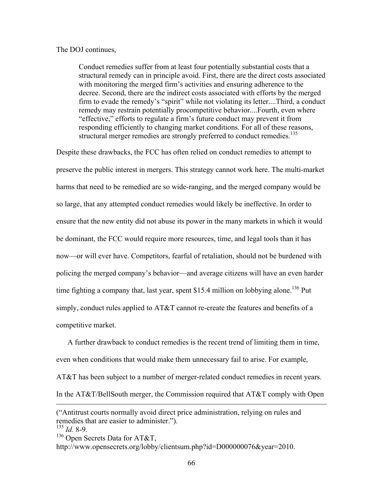### The DOJ continues,

Conduct remedies suffer from at least four potentially substantial costs that a structural remedy can in principle avoid. First, there are the direct costs associated with monitoring the merged firm's activities and ensuring adherence to the decree. Second, there are the indirect costs associated with efforts by the merged firm to evade the remedy's "spirit" while not violating its letter....Third, a conduct remedy may restrain potentially procompetitive behavior....Fourth, even where "effective," efforts to regulate a firm's future conduct may prevent it from responding efficiently to changing market conditions. For all of these reasons, structural merger remedies are strongly preferred to conduct remedies.<sup>135</sup>

Despite these drawbacks, the FCC has often relied on conduct remedies to attempt to preserve the public interest in mergers. This strategy cannot work here. The multi-market harms that need to be remedied are so wide-ranging, and the merged company would be so large, that any attempted conduct remedies would likely be ineffective. In order to ensure that the new entity did not abuse its power in the many markets in which it would be dominant, the FCC would require more resources, time, and legal tools than it has now—or will ever have. Competitors, fearful of retaliation, should not be burdened with policing the merged company's behavior—and average citizens will have an even harder time fighting a company that, last year, spent \$15.4 million on lobbying alone.<sup>136</sup> Put simply, conduct rules applied to AT&T cannot re-create the features and benefits of a competitive market.

A further drawback to conduct remedies is the recent trend of limiting them in time, even when conditions that would make them unnecessary fail to arise. For example, AT&T has been subject to a number of merger-related conduct remedies in recent years. In the AT&T/BellSouth merger, the Commission required that AT&T comply with Open

 $\overline{a}$ 

<sup>(&</sup>quot;Antitrust courts normally avoid direct price administration, relying on rules and remedies that are easier to administer.").

 $\frac{135}{135}$  *Id.* 8-9.

 $136$  Open Secrets Data for AT&T,

http://www.opensecrets.org/lobby/clientsum.php?id=D000000076&year=2010.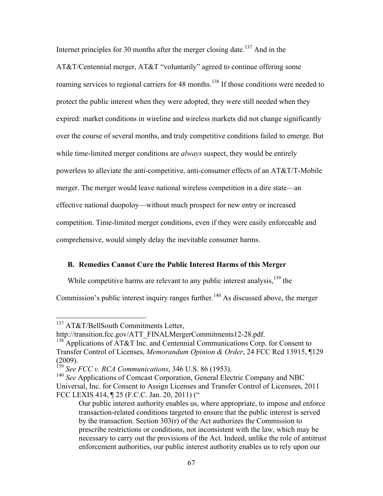Internet principles for 30 months after the merger closing date.<sup>137</sup> And in the AT&T/Centennial merger, AT&T "voluntarily" agreed to continue offering some roaming services to regional carriers for 48 months.<sup>138</sup> If those conditions were needed to protect the public interest when they were adopted, they were still needed when they expired: market conditions in wireline and wireless markets did not change significantly over the course of several months, and truly competitive conditions failed to emerge. But while time-limited merger conditions are *always* suspect, they would be entirely powerless to alleviate the anti-competitive, anti-consumer effects of an AT&T/T-Mobile merger. The merger would leave national wireless competition in a dire state—an effective national duopoloy—without much prospect for new entry or increased competition. Time-limited merger conditions, even if they were easily enforceable and comprehensive, would simply delay the inevitable consumer harms.

# **B. Remedies Cannot Cure the Public Interest Harms of this Merger**

While competitive harms are relevant to any public interest analysis,<sup>139</sup> the

Commission's public interest inquiry ranges further.<sup>140</sup> As discussed above, the merger

<sup>&</sup>lt;sup>137</sup> AT&T/BellSouth Commitments Letter,

http://transition.fcc.gov/ATT\_FINALMergerCommitments12-28.pdf.

<sup>&</sup>lt;sup>138</sup> Applications of AT&T Inc. and Centennial Communications Corp. for Consent to Transfer Control of Licenses, *Memorandum Opinion & Order*, 24 FCC Rcd 13915, ¶129 (2009).

<sup>139</sup> *See FCC v. RCA Communications*, 346 U.S. 86 (1953).

<sup>140</sup> *See* Applications of Comcast Corporation, General Electric Company and NBC Universal, Inc. for Consent to Assign Licenses and Transfer Control of Licensees, 2011 FCC LEXIS 414, ¶ 25 (F.C.C. Jan. 20, 2011) ("

Our public interest authority enables us, where appropriate, to impose and enforce transaction-related conditions targeted to ensure that the public interest is served by the transaction. Section 303(r) of the Act authorizes the Commission to prescribe restrictions or conditions, not inconsistent with the law, which may be necessary to carry out the provisions of the Act. Indeed, unlike the role of antitrust enforcement authorities, our public interest authority enables us to rely upon our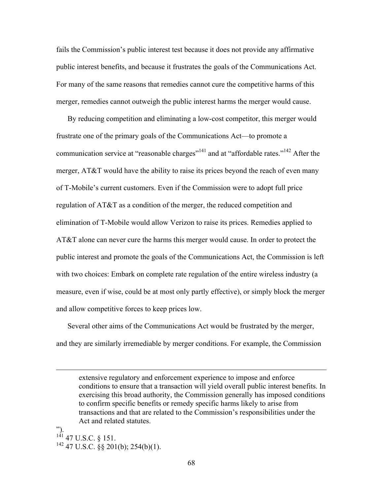fails the Commission's public interest test because it does not provide any affirmative public interest benefits, and because it frustrates the goals of the Communications Act. For many of the same reasons that remedies cannot cure the competitive harms of this merger, remedies cannot outweigh the public interest harms the merger would cause.

By reducing competition and eliminating a low-cost competitor, this merger would frustrate one of the primary goals of the Communications Act—to promote a communication service at "reasonable charges"<sup>141</sup> and at "affordable rates."<sup>142</sup> After the merger, AT&T would have the ability to raise its prices beyond the reach of even many of T-Mobile's current customers. Even if the Commission were to adopt full price regulation of AT&T as a condition of the merger, the reduced competition and elimination of T-Mobile would allow Verizon to raise its prices. Remedies applied to AT&T alone can never cure the harms this merger would cause. In order to protect the public interest and promote the goals of the Communications Act, the Commission is left with two choices: Embark on complete rate regulation of the entire wireless industry (a measure, even if wise, could be at most only partly effective), or simply block the merger and allow competitive forces to keep prices low.

Several other aims of the Communications Act would be frustrated by the merger, and they are similarly irremediable by merger conditions. For example, the Commission

").  $^{141}$  47 U.S.C. § 151.  $142$  47 U.S.C. §§ 201(b); 254(b)(1).

 $\overline{a}$ 

extensive regulatory and enforcement experience to impose and enforce conditions to ensure that a transaction will yield overall public interest benefits. In exercising this broad authority, the Commission generally has imposed conditions to confirm specific benefits or remedy specific harms likely to arise from transactions and that are related to the Commission's responsibilities under the Act and related statutes.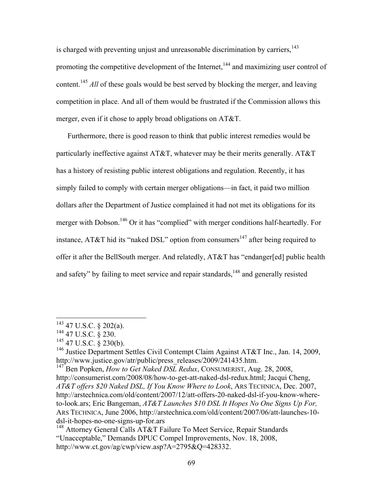is charged with preventing unjust and unreasonable discrimination by carriers, $143$ promoting the competitive development of the Internet,<sup>144</sup> and maximizing user control of content.<sup>145</sup> *All* of these goals would be best served by blocking the merger, and leaving competition in place. And all of them would be frustrated if the Commission allows this merger, even if it chose to apply broad obligations on AT&T.

Furthermore, there is good reason to think that public interest remedies would be particularly ineffective against AT&T, whatever may be their merits generally. AT&T has a history of resisting public interest obligations and regulation. Recently, it has simply failed to comply with certain merger obligations—in fact, it paid two million dollars after the Department of Justice complained it had not met its obligations for its merger with Dobson.<sup>146</sup> Or it has "complied" with merger conditions half-heartedly. For instance, AT&T hid its "naked DSL" option from consumers<sup>147</sup> after being required to offer it after the BellSouth merger. And relatedly, AT&T has "endanger[ed] public health and safety" by failing to meet service and repair standards,<sup>148</sup> and generally resisted

 <sup>143 47</sup> U.S.C. § 202(a).

 $144$  47 U.S.C. § 230.

 $145$  47 U.S.C.  $\frac{8}{9}$  230(b).

<sup>&</sup>lt;sup>146</sup> Justice Department Settles Civil Contempt Claim Against AT&T Inc., Jan. 14, 2009, http://www.justice.gov/atr/public/press\_releases/2009/241435.htm.

<sup>&</sup>lt;sup>147</sup> Ben Popken, *How to Get Naked DSL Redux*, CONSUMERIST, Aug. 28, 2008, http://consumerist.com/2008/08/how-to-get-att-naked-dsl-redux.html; Jacqui Cheng, *AT&T offers \$20 Naked DSL, If You Know Where to Look*, ARS TECHNICA, Dec. 2007, http://arstechnica.com/old/content/2007/12/att-offers-20-naked-dsl-if-you-know-whereto-look.ars; Eric Bangeman, *AT&T Launches \$10 DSL It Hopes No One Signs Up For,* ARS TECHNICA, June 2006, http://arstechnica.com/old/content/2007/06/att-launches-10 dsl-it-hopes-no-one-signs-up-for.ars

<sup>&</sup>lt;sup>148</sup> Attorney General Calls AT&T Failure To Meet Service, Repair Standards "Unacceptable," Demands DPUC Compel Improvements, Nov. 18, 2008, http://www.ct.gov/ag/cwp/view.asp?A=2795&Q=428332.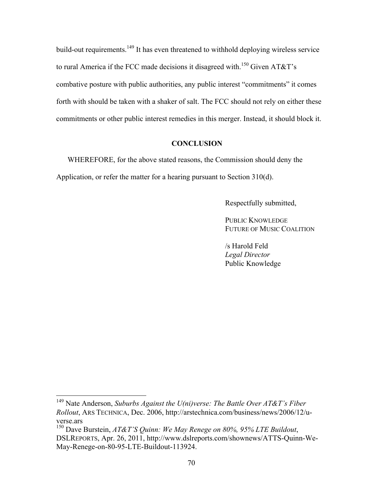build-out requirements.<sup>149</sup> It has even threatened to withhold deploying wireless service to rural America if the FCC made decisions it disagreed with.<sup>150</sup> Given AT&T's combative posture with public authorities, any public interest "commitments" it comes forth with should be taken with a shaker of salt. The FCC should not rely on either these commitments or other public interest remedies in this merger. Instead, it should block it.

# **CONCLUSION**

WHEREFORE, for the above stated reasons, the Commission should deny the Application, or refer the matter for a hearing pursuant to Section 310(d).

Respectfully submitted,

PUBLIC KNOWLEDGE FUTURE OF MUSIC COALITION

/s Harold Feld *Legal Director* Public Knowledge

 <sup>149</sup> Nate Anderson, *Suburbs Against the U(ni)verse: The Battle Over AT&T's Fiber Rollout*, ARS TECHNICA, Dec. 2006, http://arstechnica.com/business/news/2006/12/uverse.ars

<sup>150</sup> Dave Burstein, *AT&T'S Quinn: We May Renege on 80%, 95% LTE Buildout*, DSLREPORTS, Apr. 26, 2011, http://www.dslreports.com/shownews/ATTS-Quinn-We-May-Renege-on-80-95-LTE-Buildout-113924.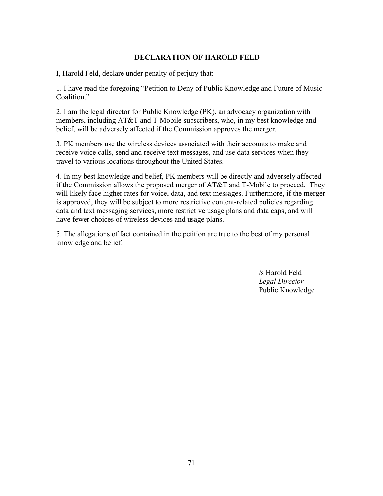# **DECLARATION OF HAROLD FELD**

I, Harold Feld, declare under penalty of perjury that:

1. I have read the foregoing "Petition to Deny of Public Knowledge and Future of Music Coalition."

2. I am the legal director for Public Knowledge (PK), an advocacy organization with members, including AT&T and T-Mobile subscribers, who, in my best knowledge and belief, will be adversely affected if the Commission approves the merger.

3. PK members use the wireless devices associated with their accounts to make and receive voice calls, send and receive text messages, and use data services when they travel to various locations throughout the United States.

4. In my best knowledge and belief, PK members will be directly and adversely affected if the Commission allows the proposed merger of AT&T and T-Mobile to proceed. They will likely face higher rates for voice, data, and text messages. Furthermore, if the merger is approved, they will be subject to more restrictive content-related policies regarding data and text messaging services, more restrictive usage plans and data caps, and will have fewer choices of wireless devices and usage plans.

5. The allegations of fact contained in the petition are true to the best of my personal knowledge and belief.

> /s Harold Feld *Legal Director* Public Knowledge